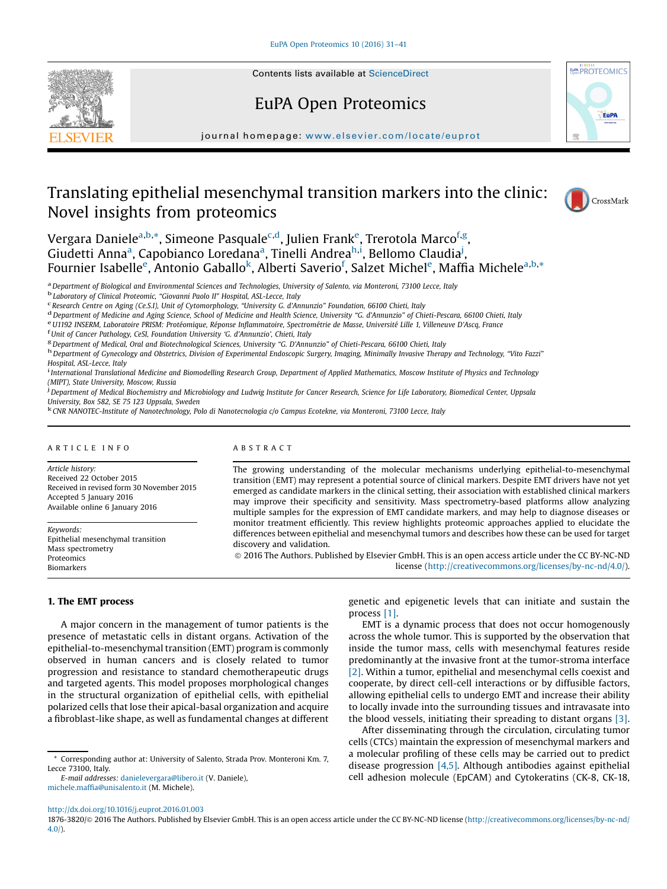

## EuPA Open Proteomics



journal homepage: <www.elsevier.com/locate/euprot>

# Translating epithelial mesenchymal transition markers into the clinic: Novel insights from proteomics



Vergara Daniele<sup>a,b,</sup>\*, Simeone Pasquale<sup>c,d</sup>, Julien Frank<sup>e</sup>, Trerotola Marco<sup>f,g</sup>, Giudetti Anna<sup>a</sup>, Capobianco Loredana<sup>a</sup>, Tinelli Andrea<sup>h,i</sup>, Bellomo Claudia<sup>j</sup>, Fournier Isabelle<sup>e</sup>, Antonio Gaballo<sup>k</sup>, Alberti Saverio<sup>f</sup>, Salzet Michel<sup>e</sup>, Maffia Michele<sup>a,b,</sup>\*

<sup>a</sup> Department of Biological and Environmental Sciences and Technologies, University of Salento, via Monteroni, 73100 Lecce, Italy b Laboratory of Clinical Proteomic, "Giovanni Paolo II" Hospital, ASL-Lecce, Italy cheore,

<sup>d</sup> Department of Medicine and Aging Science, School of Medicine and Health Science, University "G. d'Annunzio" of Chieti-Pescara, 66100 Chieti, Italy e<br>
<sup>e</sup> U1192 INSERM, Laboratoire PRISM: Protéomique, Réponse Inflammat

<sup>g</sup> Department of Medical, Oral and Biotechnological Sciences, University "G. D'Annunzio" of Chieti-Pescara, 66100 Chieti, Italy<br><sup>h</sup> Department of Gynecology and Obstetrics, Division of Experimental Endoscopic Surgery, Ima

Hospital, ASL-Lecce, Italy<br><sup>i</sup> International Translational Medicine and Biomodelling Research Group, Department of Applied Mathematics, Moscow Institute of Physics and Technology (MIPT), State University, Moscow, Russia <sup>j</sup>

<sup>j</sup> Department of Medical Biochemistry and Microbiology and Ludwig Institute for Cancer Research, Science for Life Laboratory, Biomedical Center, Uppsala University, Box 582, SE 75 123 Uppsala, Sweden<br><sup>k</sup> CNR NANOTEC-Institute of Nanotechnology, Polo di Nanotecnologia c/o Campus Ecotekne, via Monteroni, 73100 Lecce, Italy

#### A R T I C L E I N F O

Article history: Received 22 October 2015 Received in revised form 30 November 2015 Accepted 5 January 2016 Available online 6 January 2016

Keywords: Epithelial mesenchymal transition Mass spectrometry Proteomics Biomarkers

#### 1. The EMT process

A major concern in the management of tumor patients is the presence of metastatic cells in distant organs. Activation of the epithelial-to-mesenchymal transition (EMT) program is commonly observed in human cancers and is closely related to tumor progression and resistance to standard chemotherapeutic drugs and targeted agents. This model proposes morphological changes in the structural organization of epithelial cells, with epithelial polarized cells that lose their apical-basal organization and acquire

a fibroblast-like shape, as well as fundamental changes at different

E-mail addresses: [danielevergara@libero.it](mailto:danielevergara@libero.it) (V. Daniele), michele.maffi[a@unisalento.it](mailto:michele.maffia@unisalento.it) (M. Michele).

A B S T R A C T

The growing understanding of the molecular mechanisms underlying epithelial-to-mesenchymal transition (EMT) may represent a potential source of clinical markers. Despite EMT drivers have not yet emerged as candidate markers in the clinical setting, their association with established clinical markers may improve their specificity and sensitivity. Mass spectrometry-based platforms allow analyzing multiple samples for the expression of EMT candidate markers, and may help to diagnose diseases or monitor treatment efficiently. This review highlights proteomic approaches applied to elucidate the differences between epithelial and mesenchymal tumors and describes how these can be used for target discovery and validation.

ã 2016 The Authors. Published by Elsevier GmbH. This is an open access article under the CC BY-NC-ND license [\(http://creativecommons.org/licenses/by-nc-nd/4.0/](http://creativecommons.org/licenses/by-nc-nd/4.0/)).

> genetic and epigenetic levels that can initiate and sustain the process [\[1\].](#page-7-0)

> EMT is a dynamic process that does not occur homogenously across the whole tumor. This is supported by the observation that inside the tumor mass, cells with mesenchymal features reside predominantly at the invasive front at the tumor-stroma interface [\[2\]](#page-7-0). Within a tumor, epithelial and mesenchymal cells coexist and cooperate, by direct cell-cell interactions or by diffusible factors, allowing epithelial cells to undergo EMT and increase their ability to locally invade into the surrounding tissues and intravasate into the blood vessels, initiating their spreading to distant organs [\[3\]](#page-7-0).

> After disseminating through the circulation, circulating tumor cells (CTCs) maintain the expression of mesenchymal markers and a molecular profiling of these cells may be carried out to predict disease progression [\[4,5\]](#page-7-0). Although antibodies against epithelial cell adhesion molecule (EpCAM) and Cytokeratins (CK-8, CK-18,

<http://dx.doi.org/10.1016/j.euprot.2016.01.003>

1876-3820/ã 2016 The Authors. Published by Elsevier GmbH. This is an open access article under the CC BY-NC-ND license ([http://creativecommons.org/licenses/by-nc-nd/](http://creativecommons.org/licenses/by-nc-nd/4.0/) [4.0/](http://creativecommons.org/licenses/by-nc-nd/4.0/)).

<sup>\*</sup> Corresponding author at: University of Salento, Strada Prov. Monteroni Km. 7, Lecce 73100, Italy.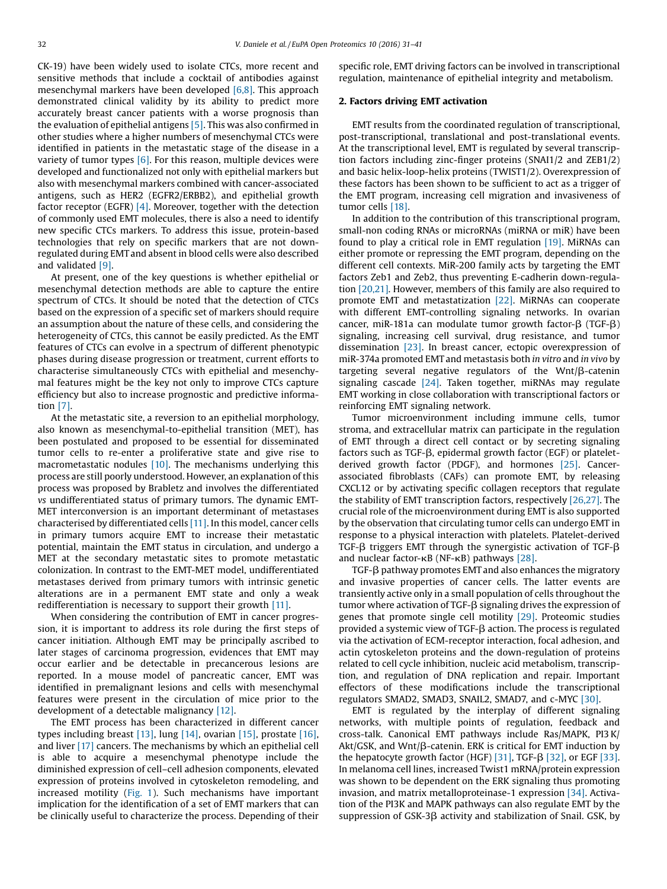CK-19) have been widely used to isolate CTCs, more recent and sensitive methods that include a cocktail of antibodies against mesenchymal markers have been developed [\[6,8\].](#page-7-0) This approach demonstrated clinical validity by its ability to predict more accurately breast cancer patients with a worse prognosis than the evaluation of epithelial antigens [\[5\]](#page-7-0). This was also confirmed in other studies where a higher numbers of mesenchymal CTCs were identified in patients in the metastatic stage of the disease in a variety of tumor types  $[6]$ . For this reason, multiple devices were developed and functionalized not only with epithelial markers but also with mesenchymal markers combined with cancer-associated antigens, such as HER2 (EGFR2/ERBB2), and epithelial growth factor receptor (EGFR) [\[4\]](#page-7-0). Moreover, together with the detection of commonly used EMT molecules, there is also a need to identify new specific CTCs markers. To address this issue, protein-based technologies that rely on specific markers that are not downregulated during EMT and absent in blood cells were also described and validated [\[9\]](#page-7-0).

At present, one of the key questions is whether epithelial or mesenchymal detection methods are able to capture the entire spectrum of CTCs. It should be noted that the detection of CTCs based on the expression of a specific set of markers should require an assumption about the nature of these cells, and considering the heterogeneity of CTCs, this cannot be easily predicted. As the EMT features of CTCs can evolve in a spectrum of different phenotypic phases during disease progression or treatment, current efforts to characterise simultaneously CTCs with epithelial and mesenchymal features might be the key not only to improve CTCs capture efficiency but also to increase prognostic and predictive information [\[7\].](#page-7-0)

At the metastatic site, a reversion to an epithelial morphology, also known as mesenchymal-to-epithelial transition (MET), has been postulated and proposed to be essential for disseminated tumor cells to re-enter a proliferative state and give rise to macrometastatic nodules [\[10\]](#page-7-0). The mechanisms underlying this process are still poorly understood. However, an explanation of this process was proposed by Brabletz and involves the differentiated vs undifferentiated status of primary tumors. The dynamic EMT-MET interconversion is an important determinant of metastases characterised by differentiated cells [\[11\]](#page-7-0). In this model, cancer cells in primary tumors acquire EMT to increase their metastatic potential, maintain the EMT status in circulation, and undergo a MET at the secondary metastatic sites to promote metastatic colonization. In contrast to the EMT-MET model, undifferentiated metastases derived from primary tumors with intrinsic genetic alterations are in a permanent EMT state and only a weak redifferentiation is necessary to support their growth [\[11\].](#page-7-0)

When considering the contribution of EMT in cancer progression, it is important to address its role during the first steps of cancer initiation. Although EMT may be principally ascribed to later stages of carcinoma progression, evidences that EMT may occur earlier and be detectable in precancerous lesions are reported. In a mouse model of pancreatic cancer, EMT was identified in premalignant lesions and cells with mesenchymal features were present in the circulation of mice prior to the development of a detectable malignancy [\[12\].](#page-7-0)

The EMT process has been characterized in different cancer types including breast [\[13\]](#page-7-0), lung [\[14\]](#page-7-0), ovarian [\[15\]](#page-7-0), prostate [\[16\],](#page-7-0) and liver [\[17\]](#page-7-0) cancers. The mechanisms by which an epithelial cell is able to acquire a mesenchymal phenotype include the diminished expression of cell–cell adhesion components, elevated expression of proteins involved in cytoskeleton remodeling, and increased motility ([Fig.](#page-2-0) 1). Such mechanisms have important implication for the identification of a set of EMT markers that can be clinically useful to characterize the process. Depending of their specific role, EMT driving factors can be involved in transcriptional regulation, maintenance of epithelial integrity and metabolism.

## 2. Factors driving EMT activation

EMT results from the coordinated regulation of transcriptional, post-transcriptional, translational and post-translational events. At the transcriptional level, EMT is regulated by several transcription factors including zinc-finger proteins (SNAI1/2 and ZEB1/2) and basic helix-loop-helix proteins (TWIST1/2). Overexpression of these factors has been shown to be sufficient to act as a trigger of the EMT program, increasing cell migration and invasiveness of tumor cells [\[18\]](#page-7-0).

In addition to the contribution of this transcriptional program, small-non coding RNAs or microRNAs (miRNA or miR) have been found to play a critical role in EMT regulation [\[19\].](#page-7-0) MiRNAs can either promote or repressing the EMT program, depending on the different cell contexts. MiR-200 family acts by targeting the EMT factors Zeb1 and Zeb2, thus preventing E-cadherin down-regulation [\[20,21\].](#page-7-0) However, members of this family are also required to promote EMT and metastatization [\[22\]](#page-7-0). MiRNAs can cooperate with different EMT-controlling signaling networks. In ovarian cancer, miR-181a can modulate tumor growth factor- $\beta$  (TGF- $\beta$ ) signaling, increasing cell survival, drug resistance, and tumor dissemination [\[23\]](#page-7-0). In breast cancer, ectopic overexpression of miR-374a promoted EMT and metastasis both in vitro and in vivo by targeting several negative regulators of the  $Wnt/\beta$ -catenin signaling cascade [\[24\]](#page-7-0). Taken together, miRNAs may regulate EMT working in close collaboration with transcriptional factors or reinforcing EMT signaling network.

Tumor microenvironment including immune cells, tumor stroma, and extracellular matrix can participate in the regulation of EMT through a direct cell contact or by secreting signaling factors such as TGF- $\beta$ , epidermal growth factor (EGF) or plateletderived growth factor (PDGF), and hormones [\[25\]](#page-7-0). Cancerassociated fibroblasts (CAFs) can promote EMT, by releasing CXCL12 or by activating specific collagen receptors that regulate the stability of EMT transcription factors, respectively [\[26,27\].](#page-7-0) The crucial role of the microenvironment during EMT is also supported by the observation that circulating tumor cells can undergo EMT in response to a physical interaction with platelets. Platelet-derived TGF- $\beta$  triggers EMT through the synergistic activation of TGF- $\beta$ and nuclear factor- $\kappa$ B (NF- $\kappa$ B) pathways [\[28\]](#page-7-0).

 $TGF-B$  pathway promotes EMT and also enhances the migratory and invasive properties of cancer cells. The latter events are transiently active only in a small population of cells throughout the tumor where activation of TGF- $\beta$  signaling drives the expression of genes that promote single cell motility [\[29\]](#page-7-0). Proteomic studies provided a systemic view of TGF- $\beta$  action. The process is regulated via the activation of ECM-receptor interaction, focal adhesion, and actin cytoskeleton proteins and the down-regulation of proteins related to cell cycle inhibition, nucleic acid metabolism, transcription, and regulation of DNA replication and repair. Important effectors of these modifications include the transcriptional regulators SMAD2, SMAD3, SNAIL2, SMAD7, and c-MYC [\[30\].](#page-8-0)

EMT is regulated by the interplay of different signaling networks, with multiple points of regulation, feedback and cross-talk. Canonical EMT pathways include Ras/MAPK, PI3K/ Akt/GSK, and Wnt/ $\beta$ -catenin. ERK is critical for EMT induction by the hepatocyte growth factor (HGF)  $[31]$ , TGF- $\beta$   $[32]$ , or EGF  $[33]$ . In melanoma cell lines, increased Twist1 mRNA/protein expression was shown to be dependent on the ERK signaling thus promoting invasion, and matrix metalloproteinase-1 expression [\[34\]](#page-8-0). Activation of the PI3K and MAPK pathways can also regulate EMT by the suppression of  $GSK-3\beta$  activity and stabilization of Snail. GSK, by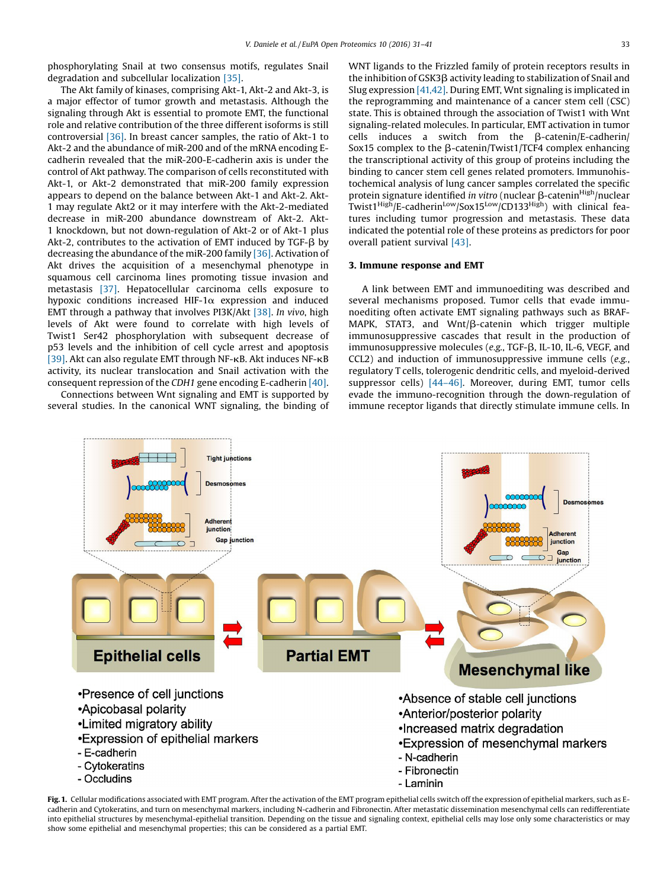<span id="page-2-0"></span>phosphorylating Snail at two consensus motifs, regulates Snail degradation and subcellular localization [\[35\]](#page-8-0).

The Akt family of kinases, comprising Akt-1, Akt-2 and Akt-3, is a major effector of tumor growth and metastasis. Although the signaling through Akt is essential to promote EMT, the functional role and relative contribution of the three different isoforms is still controversial [\[36\].](#page-8-0) In breast cancer samples, the ratio of Akt-1 to Akt-2 and the abundance of miR-200 and of the mRNA encoding Ecadherin revealed that the miR-200-E-cadherin axis is under the control of Akt pathway. The comparison of cells reconstituted with Akt-1, or Akt-2 demonstrated that miR-200 family expression appears to depend on the balance between Akt-1 and Akt-2. Akt-1 may regulate Akt2 or it may interfere with the Akt-2-mediated decrease in miR-200 abundance downstream of Akt-2. Akt-1 knockdown, but not down-regulation of Akt-2 or of Akt-1 plus Akt-2, contributes to the activation of EMT induced by TGF- $\beta$  by decreasing the abundance of the miR-200 family [\[36\]](#page-8-0). Activation of Akt drives the acquisition of a mesenchymal phenotype in squamous cell carcinoma lines promoting tissue invasion and metastasis [\[37\].](#page-8-0) Hepatocellular carcinoma cells exposure to hypoxic conditions increased HIF-1 $\alpha$  expression and induced EMT through a pathway that involves PI3K/Akt [\[38\]](#page-8-0). In vivo, high levels of Akt were found to correlate with high levels of Twist1 Ser42 phosphorylation with subsequent decrease of p53 levels and the inhibition of cell cycle arrest and apoptosis [\[39\]](#page-8-0). Akt can also regulate EMT through NF-kB. Akt induces NF-kB activity, its nuclear translocation and Snail activation with the consequent repression of the CDH1 gene encoding E-cadherin [\[40\]](#page-8-0).

Connections between Wnt signaling and EMT is supported by several studies. In the canonical WNT signaling, the binding of WNT ligands to the Frizzled family of protein receptors results in the inhibition of GSK3 $\beta$  activity leading to stabilization of Snail and Slug expression [\[41,42\]](#page-8-0). During EMT, Wnt signaling is implicated in the reprogramming and maintenance of a cancer stem cell (CSC) state. This is obtained through the association of Twist1 with Wnt signaling-related molecules. In particular, EMT activation in tumor cells induces a switch from the  $\beta$ -catenin/E-cadherin/ Sox15 complex to the  $\beta$ -catenin/Twist1/TCF4 complex enhancing the transcriptional activity of this group of proteins including the binding to cancer stem cell genes related promoters. Immunohistochemical analysis of lung cancer samples correlated the specific protein signature identified in vitro (nuclear  $\beta$ -catenin $\text{High}/\text{nuclear}$ Twist1 $\frac{\text{High}}{\text{E-cadherin}}$ <sup>Low</sup>/Sox15<sup>Low</sup>/CD133<sup>High</sup>) with clinical features including tumor progression and metastasis. These data indicated the potential role of these proteins as predictors for poor overall patient survival [\[43\].](#page-8-0)

#### 3. Immune response and EMT

A link between EMT and immunoediting was described and several mechanisms proposed. Tumor cells that evade immunoediting often activate EMT signaling pathways such as BRAF-MAPK, STAT3, and Wnt/ $\beta$ -catenin which trigger multiple immunosuppressive cascades that result in the production of immunosuppressive molecules (e.g., TGF- $\beta$ , IL-10, IL-6, VEGF, and CCL2) and induction of immunosuppressive immune cells (e.g., regulatory T cells, tolerogenic dendritic cells, and myeloid-derived suppressor cells) [\[44](#page-8-0)–46]. Moreover, during EMT, tumor cells evade the immuno-recognition through the down-regulation of immune receptor ligands that directly stimulate immune cells. In



Fig. 1. Cellular modifications associated with EMT program. After the activation of the EMT program epithelial cells switch off the expression of epithelial markers, such as Ecadherin and Cytokeratins, and turn on mesenchymal markers, including N-cadherin and Fibronectin. After metastatic dissemination mesenchymal cells can redifferentiate into epithelial structures by mesenchymal-epithelial transition. Depending on the tissue and signaling context, epithelial cells may lose only some characteristics or may show some epithelial and mesenchymal properties; this can be considered as a partial EMT.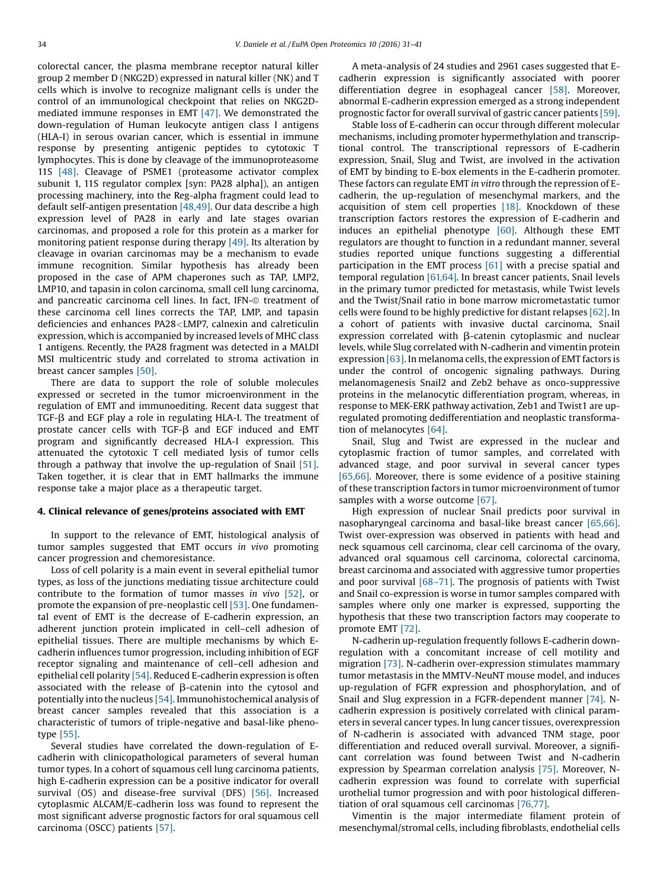colorectal cancer, the plasma membrane receptor natural killer group 2 member D (NKG2D) expressed in natural killer (NK) and T cells which is involve to recognize malignant cells is under the control of an immunological checkpoint that relies on NKG2D-mediated immune responses in EMT [\[47\]](#page-8-0). We demonstrated the down-regulation of Human leukocyte antigen class I antigens (HLA-I) in serous ovarian cancer, which is essential in immune response by presenting antigenic peptides to cytotoxic T lymphocytes. This is done by cleavage of the immunoproteasome 11S [\[48\]](#page-8-0). Cleavage of PSME1 (proteasome activator complex subunit 1, 11S regulator complex [syn: PA28 alpha]), an antigen processing machinery, into the Reg-alpha fragment could lead to default self-antigen presentation [\[48,49\].](#page-8-0) Our data describe a high expression level of PA28 in early and late stages ovarian carcinomas, and proposed a role for this protein as a marker for monitoring patient response during therapy [\[49\]](#page-8-0). Its alteration by cleavage in ovarian carcinomas may be a mechanism to evade immune recognition. Similar hypothesis has already been proposed in the case of APM chaperones such as TAP, LMP2, LMP10, and tapasin in colon carcinoma, small cell lung carcinoma, and pancreatic carcinoma cell lines. In fact, IFN-@ treatment of these carcinoma cell lines corrects the TAP, LMP, and tapasin deficiencies and enhances PA28<LMP7, calnexin and calreticulin expression, which is accompanied by increased levels of MHC class 1 antigens. Recently, the PA28 fragment was detected in a MALDI MSI multicentric study and correlated to stroma activation in breast cancer samples [\[50\].](#page-8-0)

There are data to support the role of soluble molecules expressed or secreted in the tumor microenvironment in the regulation of EMT and immunoediting. Recent data suggest that  $TGF-B$  and EGF play a role in regulating HLA-I. The treatment of prostate cancer cells with  $TGF-\beta$  and EGF induced and EMT program and significantly decreased HLA-I expression. This attenuated the cytotoxic T cell mediated lysis of tumor cells through a pathway that involve the up-regulation of Snail [\[51\].](#page-8-0) Taken together, it is clear that in EMT hallmarks the immune response take a major place as a therapeutic target.

#### 4. Clinical relevance of genes/proteins associated with EMT

In support to the relevance of EMT, histological analysis of tumor samples suggested that EMT occurs in vivo promoting cancer progression and chemoresistance.

Loss of cell polarity is a main event in several epithelial tumor types, as loss of the junctions mediating tissue architecture could contribute to the formation of tumor masses in vivo [\[52\]](#page-8-0), or promote the expansion of pre-neoplastic cell [\[53\]](#page-8-0). One fundamental event of EMT is the decrease of E-cadherin expression, an adherent junction protein implicated in cell–cell adhesion of epithelial tissues. There are multiple mechanisms by which Ecadherin influences tumor progression, including inhibition of EGF receptor signaling and maintenance of cell–cell adhesion and epithelial cell polarity [\[54\]](#page-8-0). Reduced E-cadherin expression is often associated with the release of  $\beta$ -catenin into the cytosol and potentially into the nucleus [\[54\]](#page-8-0). Immunohistochemical analysis of breast cancer samples revealed that this association is a characteristic of tumors of triple-negative and basal-like phenotype [\[55\]](#page-8-0).

Several studies have correlated the down-regulation of Ecadherin with clinicopathological parameters of several human tumor types. In a cohort of squamous cell lung carcinoma patients, high E-cadherin expression can be a positive indicator for overall survival (OS) and disease-free survival (DFS) [\[56\]](#page-8-0). Increased cytoplasmic ALCAM/E-cadherin loss was found to represent the most significant adverse prognostic factors for oral squamous cell carcinoma (OSCC) patients [\[57\]](#page-8-0).

A meta-analysis of 24 studies and 2961 cases suggested that Ecadherin expression is significantly associated with poorer differentiation degree in esophageal cancer [\[58\].](#page-8-0) Moreover, abnormal E-cadherin expression emerged as a strong independent prognostic factor for overall survival of gastric cancer patients [\[59\].](#page-8-0)

Stable loss of E-cadherin can occur through different molecular mechanisms, including promoter hypermethylation and transcriptional control. The transcriptional repressors of E-cadherin expression, Snail, Slug and Twist, are involved in the activation of EMT by binding to E-box elements in the E-cadherin promoter. These factors can regulate EMT in vitro through the repression of Ecadherin, the up-regulation of mesenchymal markers, and the acquisition of stem cell properties [\[18\]](#page-7-0). Knockdown of these transcription factors restores the expression of E-cadherin and induces an epithelial phenotype  $[60]$ . Although these EMT regulators are thought to function in a redundant manner, several studies reported unique functions suggesting a differential participation in the EMT process [\[61\]](#page-8-0) with a precise spatial and temporal regulation  $[61,64]$ . In breast cancer patients, Snail levels in the primary tumor predicted for metastasis, while Twist levels and the Twist/Snail ratio in bone marrow micrometastatic tumor cells were found to be highly predictive for distant relapses [\[62\]](#page-8-0). In a cohort of patients with invasive ductal carcinoma, Snail expression correlated with  $\beta$ -catenin cytoplasmic and nuclear levels, while Slug correlated with N-cadherin and vimentin protein expression  $[63]$ . In melanoma cells, the expression of EMT factors is under the control of oncogenic signaling pathways. During melanomagenesis Snail2 and Zeb2 behave as onco-suppressive proteins in the melanocytic differentiation program, whereas, in response to MEK-ERK pathway activation, Zeb1 and Twist1 are upregulated promoting dedifferentiation and neoplastic transformation of melanocytes [\[64\].](#page-8-0)

Snail, Slug and Twist are expressed in the nuclear and cytoplasmic fraction of tumor samples, and correlated with advanced stage, and poor survival in several cancer types [\[65,66\].](#page-8-0) Moreover, there is some evidence of a positive staining of these transcription factors in tumor microenvironment of tumor samples with a worse outcome [\[67\].](#page-8-0)

High expression of nuclear Snail predicts poor survival in nasopharyngeal carcinoma and basal-like breast cancer [\[65,66\].](#page-8-0) Twist over-expression was observed in patients with head and neck squamous cell carcinoma, clear cell carcinoma of the ovary, advanced oral squamous cell carcinoma, colorectal carcinoma, breast carcinoma and associated with aggressive tumor properties and poor survival  $[68-71]$  $[68-71]$ . The prognosis of patients with Twist and Snail co-expression is worse in tumor samples compared with samples where only one marker is expressed, supporting the hypothesis that these two transcription factors may cooperate to promote EMT [\[72\]](#page-8-0).

N-cadherin up-regulation frequently follows E-cadherin downregulation with a concomitant increase of cell motility and migration [\[73\]](#page-8-0). N-cadherin over-expression stimulates mammary tumor metastasis in the MMTV-NeuNT mouse model, and induces up-regulation of FGFR expression and phosphorylation, and of Snail and Slug expression in a FGFR-dependent manner [\[74\]](#page-8-0). Ncadherin expression is positively correlated with clinical parameters in several cancer types. In lung cancer tissues, overexpression of N-cadherin is associated with advanced TNM stage, poor differentiation and reduced overall survival. Moreover, a significant correlation was found between Twist and N-cadherin expression by Spearman correlation analysis [\[75\].](#page-9-0) Moreover, Ncadherin expression was found to correlate with superficial urothelial tumor progression and with poor histological differentiation of oral squamous cell carcinomas [\[76,77\].](#page-9-0)

Vimentin is the major intermediate filament protein of mesenchymal/stromal cells, including fibroblasts, endothelial cells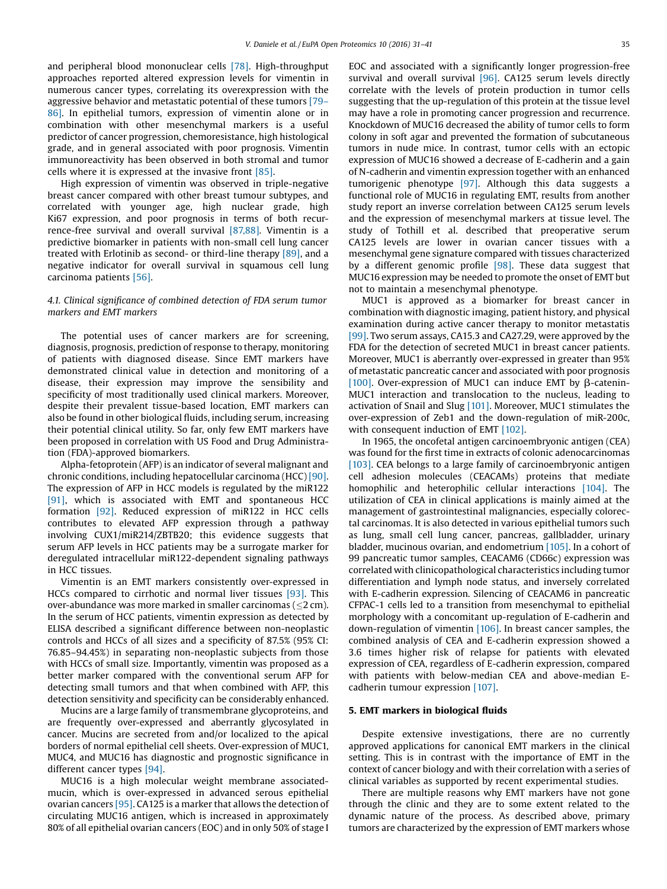and peripheral blood mononuclear cells [\[78\]](#page-9-0). High-throughput approaches reported altered expression levels for vimentin in numerous cancer types, correlating its overexpression with the aggressive behavior and metastatic potential of these tumors [\[79](#page-9-0)– [86\]](#page-9-0). In epithelial tumors, expression of vimentin alone or in combination with other mesenchymal markers is a useful predictor of cancer progression, chemoresistance, high histological grade, and in general associated with poor prognosis. Vimentin immunoreactivity has been observed in both stromal and tumor cells where it is expressed at the invasive front [\[85\].](#page-9-0)

High expression of vimentin was observed in triple-negative breast cancer compared with other breast tumour subtypes, and correlated with younger age, high nuclear grade, high Ki67 expression, and poor prognosis in terms of both recurrence-free survival and overall survival [\[87,88\].](#page-9-0) Vimentin is a predictive biomarker in patients with non-small cell lung cancer treated with Erlotinib as second- or third-line therapy [\[89\]](#page-9-0), and a negative indicator for overall survival in squamous cell lung carcinoma patients [\[56\]](#page-8-0).

#### 4.1. Clinical significance of combined detection of FDA serum tumor markers and EMT markers

The potential uses of cancer markers are for screening, diagnosis, prognosis, prediction of response to therapy, monitoring of patients with diagnosed disease. Since EMT markers have demonstrated clinical value in detection and monitoring of a disease, their expression may improve the sensibility and specificity of most traditionally used clinical markers. Moreover, despite their prevalent tissue-based location, EMT markers can also be found in other biological fluids, including serum, increasing their potential clinical utility. So far, only few EMT markers have been proposed in correlation with US Food and Drug Administration (FDA)-approved biomarkers.

Alpha-fetoprotein (AFP) is an indicator of several malignant and chronic conditions, including hepatocellular carcinoma (HCC) [\[90\]](#page-9-0). The expression of AFP in HCC models is regulated by the miR122 [\[91\]](#page-9-0), which is associated with EMT and spontaneous HCC formation [\[92\]](#page-9-0). Reduced expression of miR122 in HCC cells contributes to elevated AFP expression through a pathway involving CUX1/miR214/ZBTB20; this evidence suggests that serum AFP levels in HCC patients may be a surrogate marker for deregulated intracellular miR122-dependent signaling pathways in HCC tissues.

Vimentin is an EMT markers consistently over-expressed in HCCs compared to cirrhotic and normal liver tissues [\[93\].](#page-9-0) This over-abundance was more marked in smaller carcinomas ( $\leq$ 2 cm). In the serum of HCC patients, vimentin expression as detected by ELISA described a significant difference between non-neoplastic controls and HCCs of all sizes and a specificity of 87.5% (95% CI: 76.85–94.45%) in separating non-neoplastic subjects from those with HCCs of small size. Importantly, vimentin was proposed as a better marker compared with the conventional serum AFP for detecting small tumors and that when combined with AFP, this detection sensitivity and specificity can be considerably enhanced.

Mucins are a large family of transmembrane glycoproteins, and are frequently over-expressed and aberrantly glycosylated in cancer. Mucins are secreted from and/or localized to the apical borders of normal epithelial cell sheets. Over-expression of MUC1, MUC4, and MUC16 has diagnostic and prognostic significance in different cancer types [\[94\]](#page-9-0).

MUC16 is a high molecular weight membrane associatedmucin, which is over-expressed in advanced serous epithelial ovarian cancers [\[95\]](#page-9-0). CA125 is a marker that allows the detection of circulating MUC16 antigen, which is increased in approximately 80% of all epithelial ovarian cancers (EOC) and in only 50% of stage I

EOC and associated with a significantly longer progression-free survival and overall survival [\[96\]](#page-9-0). CA125 serum levels directly correlate with the levels of protein production in tumor cells suggesting that the up-regulation of this protein at the tissue level may have a role in promoting cancer progression and recurrence. Knockdown of MUC16 decreased the ability of tumor cells to form colony in soft agar and prevented the formation of subcutaneous tumors in nude mice. In contrast, tumor cells with an ectopic expression of MUC16 showed a decrease of E-cadherin and a gain of N-cadherin and vimentin expression together with an enhanced tumorigenic phenotype [\[97\]](#page-9-0). Although this data suggests a functional role of MUC16 in regulating EMT, results from another study report an inverse correlation between CA125 serum levels and the expression of mesenchymal markers at tissue level. The study of Tothill et al. described that preoperative serum CA125 levels are lower in ovarian cancer tissues with a mesenchymal gene signature compared with tissues characterized by a different genomic profile [\[98\]](#page-9-0). These data suggest that MUC16 expression may be needed to promote the onset of EMT but not to maintain a mesenchymal phenotype.

MUC1 is approved as a biomarker for breast cancer in combination with diagnostic imaging, patient history, and physical examination during active cancer therapy to monitor metastatis [\[99\]](#page-9-0). Two serum assays, CA15.3 and CA27.29, were approved by the FDA for the detection of secreted MUC1 in breast cancer patients. Moreover, MUC1 is aberrantly over-expressed in greater than 95% of metastatic pancreatic cancer and associated with poor prognosis [\[100\].](#page-9-0) Over-expression of MUC1 can induce EMT by  $\beta$ -catenin-MUC1 interaction and translocation to the nucleus, leading to activation of Snail and Slug [\[101\]](#page-9-0). Moreover, MUC1 stimulates the over-expression of Zeb1 and the down-regulation of miR-200c, with consequent induction of EMT [\[102\]](#page-9-0).

In 1965, the oncofetal antigen carcinoembryonic antigen (CEA) was found for the first time in extracts of colonic adenocarcinomas [\[103\]](#page-9-0). CEA belongs to a large family of carcinoembryonic antigen cell adhesion molecules (CEACAMs) proteins that mediate homophilic and heterophilic cellular interactions [\[104\]](#page-9-0). The utilization of CEA in clinical applications is mainly aimed at the management of gastrointestinal malignancies, especially colorectal carcinomas. It is also detected in various epithelial tumors such as lung, small cell lung cancer, pancreas, gallbladder, urinary bladder, mucinous ovarian, and endometrium [\[105\].](#page-9-0) In a cohort of 99 pancreatic tumor samples, CEACAM6 (CD66c) expression was correlated with clinicopathological characteristics including tumor differentiation and lymph node status, and inversely correlated with E-cadherin expression. Silencing of CEACAM6 in pancreatic CFPAC-1 cells led to a transition from mesenchymal to epithelial morphology with a concomitant up-regulation of E-cadherin and down-regulation of vimentin [\[106\].](#page-9-0) In breast cancer samples, the combined analysis of CEA and E-cadherin expression showed a 3.6 times higher risk of relapse for patients with elevated expression of CEA, regardless of E-cadherin expression, compared with patients with below-median CEA and above-median Ecadherin tumour expression [\[107\]](#page-9-0).

#### 5. EMT markers in biological fluids

Despite extensive investigations, there are no currently approved applications for canonical EMT markers in the clinical setting. This is in contrast with the importance of EMT in the context of cancer biology and with their correlation with a series of clinical variables as supported by recent experimental studies.

There are multiple reasons why EMT markers have not gone through the clinic and they are to some extent related to the dynamic nature of the process. As described above, primary tumors are characterized by the expression of EMT markers whose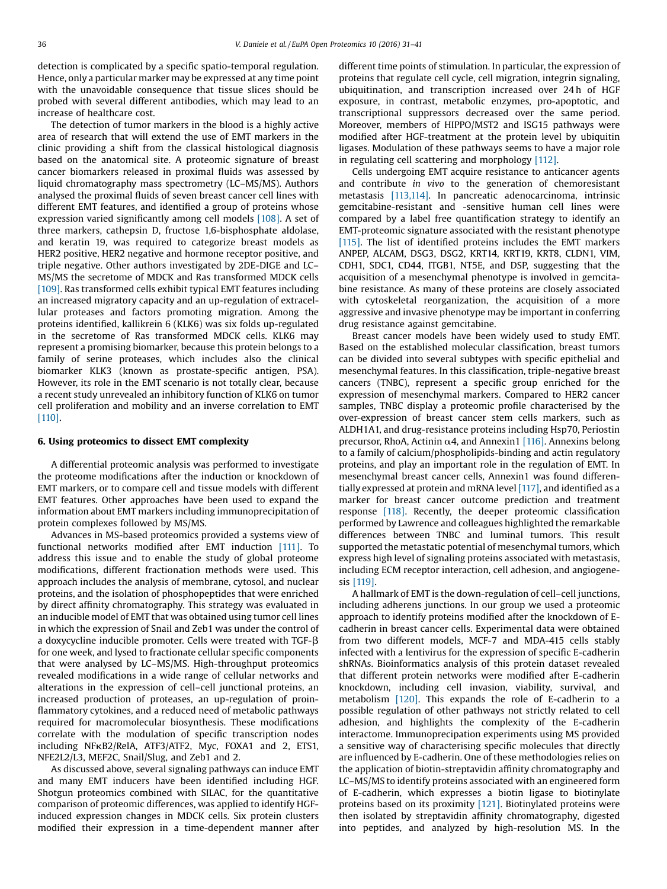detection is complicated by a specific spatio-temporal regulation. Hence, only a particular marker may be expressed at any time point with the unavoidable consequence that tissue slices should be probed with several different antibodies, which may lead to an increase of healthcare cost.

The detection of tumor markers in the blood is a highly active area of research that will extend the use of EMT markers in the clinic providing a shift from the classical histological diagnosis based on the anatomical site. A proteomic signature of breast cancer biomarkers released in proximal fluids was assessed by liquid chromatography mass spectrometry (LC–MS/MS). Authors analysed the proximal fluids of seven breast cancer cell lines with different EMT features, and identified a group of proteins whose expression varied significantly among cell models [\[108\]](#page-9-0). A set of three markers, cathepsin D, fructose 1,6-bisphosphate aldolase, and keratin 19, was required to categorize breast models as HER2 positive, HER2 negative and hormone receptor positive, and triple negative. Other authors investigated by 2DE-DIGE and LC– MS/MS the secretome of MDCK and Ras transformed MDCK cells [\[109\].](#page-9-0) Ras transformed cells exhibit typical EMT features including an increased migratory capacity and an up-regulation of extracellular proteases and factors promoting migration. Among the proteins identified, kallikrein 6 (KLK6) was six folds up-regulated in the secretome of Ras transformed MDCK cells. KLK6 may represent a promising biomarker, because this protein belongs to a family of serine proteases, which includes also the clinical biomarker KLK3 (known as prostate-specific antigen, PSA). However, its role in the EMT scenario is not totally clear, because a recent study unrevealed an inhibitory function of KLK6 on tumor cell proliferation and mobility and an inverse correlation to EMT [\[110\].](#page-9-0)

#### 6. Using proteomics to dissect EMT complexity

A differential proteomic analysis was performed to investigate the proteome modifications after the induction or knockdown of EMT markers, or to compare cell and tissue models with different EMT features. Other approaches have been used to expand the information about EMT markers including immunoprecipitation of protein complexes followed by MS/MS.

Advances in MS-based proteomics provided a systems view of functional networks modified after EMT induction [\[111\]](#page-9-0). To address this issue and to enable the study of global proteome modifications, different fractionation methods were used. This approach includes the analysis of membrane, cytosol, and nuclear proteins, and the isolation of phosphopeptides that were enriched by direct affinity chromatography. This strategy was evaluated in an inducible model of EMT that was obtained using tumor cell lines in which the expression of Snail and Zeb1 was under the control of a doxycycline inducible promoter. Cells were treated with TGF- $\beta$ for one week, and lysed to fractionate cellular specific components that were analysed by LC–MS/MS. High-throughput proteomics revealed modifications in a wide range of cellular networks and alterations in the expression of cell–cell junctional proteins, an increased production of proteases, an up-regulation of proinflammatory cytokines, and a reduced need of metabolic pathways required for macromolecular biosynthesis. These modifications correlate with the modulation of specific transcription nodes including NFkB2/RelA, ATF3/ATF2, Myc, FOXA1 and 2, ETS1, NFE2L2/L3, MEF2C, Snail/Slug, and Zeb1 and 2.

As discussed above, several signaling pathways can induce EMT and many EMT inducers have been identified including HGF. Shotgun proteomics combined with SILAC, for the quantitative comparison of proteomic differences, was applied to identify HGFinduced expression changes in MDCK cells. Six protein clusters modified their expression in a time-dependent manner after different time points of stimulation. In particular, the expression of proteins that regulate cell cycle, cell migration, integrin signaling, ubiquitination, and transcription increased over 24h of HGF exposure, in contrast, metabolic enzymes, pro-apoptotic, and transcriptional suppressors decreased over the same period. Moreover, members of HIPPO/MST2 and ISG15 pathways were modified after HGF-treatment at the protein level by ubiquitin ligases. Modulation of these pathways seems to have a major role in regulating cell scattering and morphology [\[112\]](#page-9-0).

Cells undergoing EMT acquire resistance to anticancer agents and contribute in vivo to the generation of chemoresistant metastasis [\[113,114\].](#page-9-0) In pancreatic adenocarcinoma, intrinsic gemcitabine-resistant and -sensitive human cell lines were compared by a label free quantification strategy to identify an EMT-proteomic signature associated with the resistant phenotype [\[115\].](#page-9-0) The list of identified proteins includes the EMT markers ANPEP, ALCAM, DSG3, DSG2, KRT14, KRT19, KRT8, CLDN1, VIM, CDH1, SDC1, CD44, ITGB1, NT5E, and DSP, suggesting that the acquisition of a mesenchymal phenotype is involved in gemcitabine resistance. As many of these proteins are closely associated with cytoskeletal reorganization, the acquisition of a more aggressive and invasive phenotype may be important in conferring drug resistance against gemcitabine.

Breast cancer models have been widely used to study EMT. Based on the established molecular classification, breast tumors can be divided into several subtypes with specific epithelial and mesenchymal features. In this classification, triple-negative breast cancers (TNBC), represent a specific group enriched for the expression of mesenchymal markers. Compared to HER2 cancer samples, TNBC display a proteomic profile characterised by the over-expression of breast cancer stem cells markers, such as ALDH1A1, and drug-resistance proteins including Hsp70, Periostin precursor, RhoA, Actinin  $\alpha$ 4, and Annexin1 [\[116\]](#page-9-0). Annexins belong to a family of calcium/phospholipids-binding and actin regulatory proteins, and play an important role in the regulation of EMT. In mesenchymal breast cancer cells, Annexin1 was found differentially expressed at protein and mRNA level [\[117\],](#page-9-0) and identified as a marker for breast cancer outcome prediction and treatment response [\[118\]](#page-9-0). Recently, the deeper proteomic classification performed by Lawrence and colleagues highlighted the remarkable differences between TNBC and luminal tumors. This result supported the metastatic potential of mesenchymal tumors, which express high level of signaling proteins associated with metastasis, including ECM receptor interaction, cell adhesion, and angiogenesis [\[119\]](#page-10-0).

A hallmark of EMT is the down-regulation of cell–cell junctions, including adherens junctions. In our group we used a proteomic approach to identify proteins modified after the knockdown of Ecadherin in breast cancer cells. Experimental data were obtained from two different models, MCF-7 and MDA-415 cells stably infected with a lentivirus for the expression of specific E-cadherin shRNAs. Bioinformatics analysis of this protein dataset revealed that different protein networks were modified after E-cadherin knockdown, including cell invasion, viability, survival, and metabolism [\[120\]](#page-10-0). This expands the role of E-cadherin to a possible regulation of other pathways not strictly related to cell adhesion, and highlights the complexity of the E-cadherin interactome. Immunoprecipation experiments using MS provided a sensitive way of characterising specific molecules that directly are influenced by E-cadherin. One of these methodologies relies on the application of biotin-streptavidin affinity chromatography and LC–MS/MS to identify proteins associated with an engineered form of E-cadherin, which expresses a biotin ligase to biotinylate proteins based on its proximity [\[121\].](#page-10-0) Biotinylated proteins were then isolated by streptavidin affinity chromatography, digested into peptides, and analyzed by high-resolution MS. In the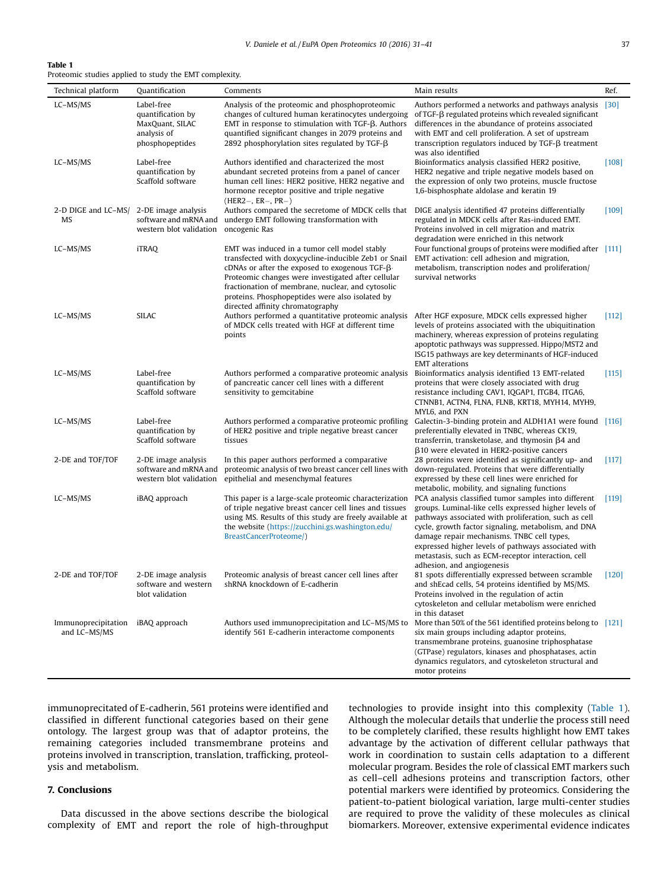#### Table 1

Proteomic studies applied to study the EMT complexity.

| Technical platform                  | Quantification                                                                       | Comments                                                                                                                                                                                                                                                                                                                                                         | Main results                                                                                                                                                                                                                                                                                                                                                  | Ref.    |
|-------------------------------------|--------------------------------------------------------------------------------------|------------------------------------------------------------------------------------------------------------------------------------------------------------------------------------------------------------------------------------------------------------------------------------------------------------------------------------------------------------------|---------------------------------------------------------------------------------------------------------------------------------------------------------------------------------------------------------------------------------------------------------------------------------------------------------------------------------------------------------------|---------|
| LC-MS/MS                            | Label-free<br>quantification by<br>MaxQuant, SILAC<br>analysis of<br>phosphopeptides | Analysis of the proteomic and phosphoproteomic<br>changes of cultured human keratinocytes undergoing<br>EMT in response to stimulation with $TGF-\beta$ . Authors<br>quantified significant changes in 2079 proteins and<br>2892 phosphorylation sites regulated by TGF- $\beta$                                                                                 | Authors performed a networks and pathways analysis<br>of TGF- $\beta$ regulated proteins which revealed significant<br>differences in the abundance of proteins associated<br>with EMT and cell proliferation. A set of upstream<br>transcription regulators induced by $TGF-\beta$ treatment<br>was also identified                                          | $[30]$  |
| LC-MS/MS                            | Label-free<br>quantification by<br>Scaffold software                                 | Authors identified and characterized the most<br>abundant secreted proteins from a panel of cancer<br>human cell lines: HER2 positive, HER2 negative and<br>hormone receptor positive and triple negative<br>$(HER2-, ER-, PR-)$                                                                                                                                 | Bioinformatics analysis classified HER2 positive,<br>HER2 negative and triple negative models based on<br>the expression of only two proteins, muscle fructose<br>1,6-bisphosphate aldolase and keratin 19                                                                                                                                                    | $[108]$ |
| 2-D DIGE and LC-MS/<br>MS           | 2-DE image analysis<br>software and mRNA and<br>western blot validation              | Authors compared the secretome of MDCK cells that<br>undergo EMT following transformation with<br>oncogenic Ras                                                                                                                                                                                                                                                  | DIGE analysis identified 47 proteins differentially<br>regulated in MDCK cells after Ras-induced EMT.<br>Proteins involved in cell migration and matrix<br>degradation were enriched in this network                                                                                                                                                          | $[109]$ |
| LC-MS/MS                            | <b>iTRAQ</b>                                                                         | EMT was induced in a tumor cell model stably<br>transfected with doxycycline-inducible Zeb1 or Snail<br>cDNAs or after the exposed to exogenous TGF- $\beta$ .<br>Proteomic changes were investigated after cellular<br>fractionation of membrane, nuclear, and cytosolic<br>proteins. Phosphopeptides were also isolated by<br>directed affinity chromatography | Four functional groups of proteins were modified after [111]<br>EMT activation: cell adhesion and migration,<br>metabolism, transcription nodes and proliferation/<br>survival networks                                                                                                                                                                       |         |
| LC-MS/MS                            | <b>SILAC</b>                                                                         | Authors performed a quantitative proteomic analysis After HGF exposure, MDCK cells expressed higher<br>of MDCK cells treated with HGF at different time<br>points                                                                                                                                                                                                | levels of proteins associated with the ubiquitination<br>machinery, whereas expression of proteins regulating<br>apoptotic pathways was suppressed. Hippo/MST2 and<br>ISG15 pathways are key determinants of HGF-induced<br><b>EMT</b> alterations                                                                                                            | [112]   |
| LC-MS/MS                            | Label-free<br>quantification by<br>Scaffold software                                 | Authors performed a comparative proteomic analysis<br>of pancreatic cancer cell lines with a different<br>sensitivity to gemcitabine                                                                                                                                                                                                                             | Bioinformatics analysis identified 13 EMT-related<br>proteins that were closely associated with drug<br>resistance including CAV1, IQGAP1, ITGB4, ITGA6,<br>CTNNB1, ACTN4, FLNA, FLNB, KRT18, MYH14, MYH9,<br>MYL6, and PXN                                                                                                                                   | [115]   |
| LC-MS/MS                            | Label-free<br>quantification by<br>Scaffold software                                 | Authors performed a comparative proteomic profiling<br>of HER2 positive and triple negative breast cancer<br>tissues                                                                                                                                                                                                                                             | Galectin-3-binding protein and ALDH1A1 were found [116]<br>preferentially elevated in TNBC, whereas CK19,<br>transferrin, transketolase, and thymosin $\beta$ 4 and<br>$\beta$ 10 were elevated in HER2-positive cancers                                                                                                                                      |         |
| 2-DE and TOF/TOF                    | 2-DE image analysis<br>software and mRNA and<br>western blot validation              | In this paper authors performed a comparative<br>proteomic analysis of two breast cancer cell lines with<br>epithelial and mesenchymal features                                                                                                                                                                                                                  | 28 proteins were identified as significantly up- and<br>down-regulated. Proteins that were differentially<br>expressed by these cell lines were enriched for<br>metabolic, mobility, and signaling functions                                                                                                                                                  | $[117]$ |
| LC-MS/MS                            | iBAQ approach                                                                        | This paper is a large-scale proteomic characterization PCA analysis classified tumor samples into different<br>of triple negative breast cancer cell lines and tissues<br>using MS. Results of this study are freely available at<br>the website (https://zucchini.gs.washington.edu/<br>BreastCancerProteome/)                                                  | groups. Luminal-like cells expressed higher levels of<br>pathways associated with proliferation, such as cell<br>cycle, growth factor signaling, metabolism, and DNA<br>damage repair mechanisms. TNBC cell types,<br>expressed higher levels of pathways associated with<br>metastasis, such as ECM-receptor interaction, cell<br>adhesion, and angiogenesis | [119]   |
| 2-DE and TOF/TOF                    | 2-DE image analysis<br>software and western<br>blot validation                       | Proteomic analysis of breast cancer cell lines after<br>shRNA knockdown of E-cadherin                                                                                                                                                                                                                                                                            | 81 spots differentially expressed between scramble<br>and shEcad cells, 54 proteins identified by MS/MS.<br>Proteins involved in the regulation of actin<br>cytoskeleton and cellular metabolism were enriched<br>in this dataset                                                                                                                             | $[120]$ |
| Immunoprecipitation<br>and LC-MS/MS | iBAQ approach                                                                        | Authors used immunoprecipitation and LC-MS/MS to<br>identify 561 E-cadherin interactome components                                                                                                                                                                                                                                                               | More than 50% of the 561 identified proteins belong to [121]<br>six main groups including adaptor proteins,<br>transmembrane proteins, guanosine triphosphatase<br>(GTPase) regulators, kinases and phosphatases, actin<br>dynamics regulators, and cytoskeleton structural and<br>motor proteins                                                             |         |

immunoprecitated of E-cadherin, 561 proteins were identified and classified in different functional categories based on their gene ontology. The largest group was that of adaptor proteins, the remaining categories included transmembrane proteins and proteins involved in transcription, translation, trafficking, proteolysis and metabolism.

#### 7. Conclusions

Data discussed in the above sections describe the biological complexity of EMT and report the role of high-throughput technologies to provide insight into this complexity (Table 1). Although the molecular details that underlie the process still need to be completely clarified, these results highlight how EMT takes advantage by the activation of different cellular pathways that work in coordination to sustain cells adaptation to a different molecular program. Besides the role of classical EMT markers such as cell–cell adhesions proteins and transcription factors, other potential markers were identified by proteomics. Considering the patient-to-patient biological variation, large multi-center studies are required to prove the validity of these molecules as clinical biomarkers. Moreover, extensive experimental evidence indicates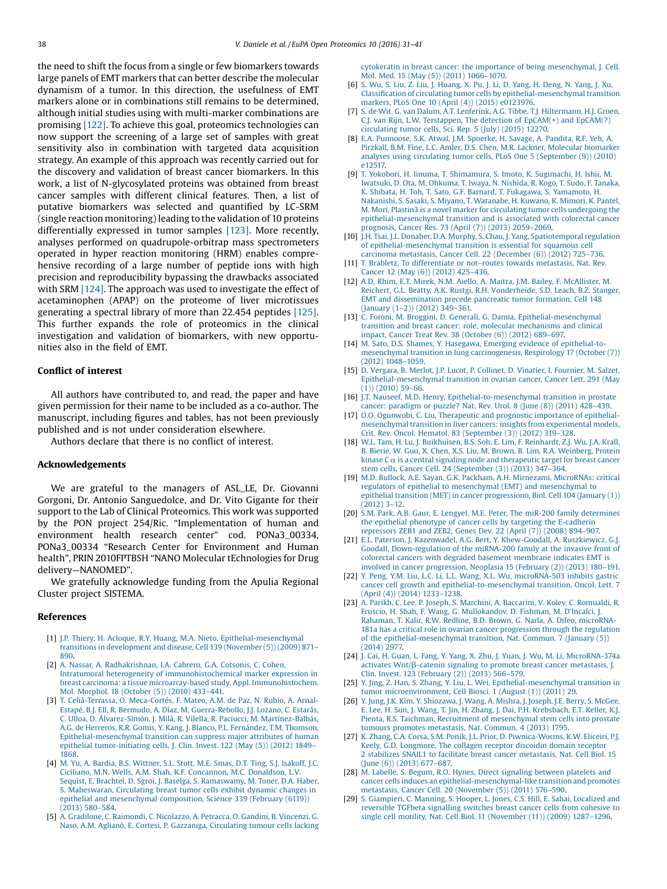<span id="page-7-0"></span>the need to shift the focus from a single or few biomarkers towards large panels of EMT markers that can better describe the molecular dynamism of a tumor. In this direction, the usefulness of EMT markers alone or in combinations still remains to be determined, although initial studies using with multi-marker combinations are promising [\[122\].](#page-10-0) To achieve this goal, proteomics technologies can now support the screening of a large set of samples with great sensitivity also in combination with targeted data acquisition strategy. An example of this approach was recently carried out for the discovery and validation of breast cancer biomarkers. In this work, a list of N-glycosylated proteins was obtained from breast cancer samples with different clinical features. Then, a list of putative biomarkers was selected and quantified by LC-SRM (single reaction monitoring) leading to the validation of 10 proteins differentially expressed in tumor samples [\[123\]](#page-10-0). More recently, analyses performed on quadrupole-orbitrap mass spectrometers operated in hyper reaction monitoring (HRM) enables comprehensive recording of a large number of peptide ions with high precision and reproducibility bypassing the drawbacks associated with SRM [\[124\]](#page-10-0). The approach was used to investigate the effect of acetaminophen (APAP) on the proteome of liver microtissues generating a spectral library of more than 22.454 peptides [\[125\].](#page-10-0) This further expands the role of proteomics in the clinical investigation and validation of biomarkers, with new opportunities also in the field of EMT.

### Conflict of interest

All authors have contributed to, and read, the paper and have given permission for their name to be included as a co-author. The manuscript, including figures and tables, has not been previously published and is not under consideration elsewhere.

Authors declare that there is no conflict of interest.

#### Acknowledgements

We are grateful to the managers of ASL\_LE, Dr. Giovanni Gorgoni, Dr. Antonio Sanguedolce, and Dr. Vito Gigante for their support to the Lab of Clinical Proteomics. This work was supported by the PON project 254/Ric. "Implementation of human and environment health research center" cod. PONa3\_00334, PONa3\_00334 "Research Center for Environment and Human health", PRIN 2010FPTBSH "NANO Molecular tEchnologies for Drug delivery—NANOMED".

We gratefully acknowledge funding from the Apulia Regional Cluster project SISTEMA.

#### References

- [1] J.P. Thiery, H. Acloque, R.Y. Huang, M.A. Nieto, [Epithelial-mesenchymal](http://refhub.elsevier.com/S2212-9685(16)30003-4/sbref0005) transitions in [development](http://refhub.elsevier.com/S2212-9685(16)30003-4/sbref0005) and disease, Cell 139 (November (5)) (2009) 871– [890](http://refhub.elsevier.com/S2212-9685(16)30003-4/sbref0005).
- [2] A. Nassar, A. [Radhakrishnan,](http://refhub.elsevier.com/S2212-9685(16)30003-4/sbref0010) I.A. Cabrero, G.A. Cotsonis, C. Cohen, Intratumoral heterogeneity of [immunohistochemical](http://refhub.elsevier.com/S2212-9685(16)30003-4/sbref0010) marker expression in breast carcinoma: a tissue microarray-based study, Appl. [Immunohistochem.](http://refhub.elsevier.com/S2212-9685(16)30003-4/sbref0010) Mol. [Morphol.](http://refhub.elsevier.com/S2212-9685(16)30003-4/sbref0010) 18 (October (5)) (2010) 433–441.
- [3] T. [Celià-Terrassa,](http://refhub.elsevier.com/S2212-9685(16)30003-4/sbref0015) O. Meca-Cortés, F. Mateo, A.M. de Paz, N. Rubio, A. Arnal-Estapé, B.J. Ell, R. Bermudo, A. Díaz, M. [Guerra-Rebollo,](http://refhub.elsevier.com/S2212-9685(16)30003-4/sbref0015) J.J. Lozano, C. Estarás, C. Ulloa, D. Álvarez-Simón, J. Milà, R. Vilella, R. Paciucci, M. [Martínez-Balbás,](http://refhub.elsevier.com/S2212-9685(16)30003-4/sbref0015) A.G. de Herreros, R.R. Gomis, Y. Kang, J. Blanco, P.L. [Fernández,](http://refhub.elsevier.com/S2212-9685(16)30003-4/sbref0015) T.M. Thomson, [Epithelial-mesenchymal](http://refhub.elsevier.com/S2212-9685(16)30003-4/sbref0015) transition can suppress major attributes of human epithelial [tumor-initiating](http://refhub.elsevier.com/S2212-9685(16)30003-4/sbref0015) cells, J. Clin. Invest. 122 (May (5)) (2012) 1849– [1868.](http://refhub.elsevier.com/S2212-9685(16)30003-4/sbref0015)
- [4] M. Yu, A. Bardia, B.S. [Wittner,](http://refhub.elsevier.com/S2212-9685(16)30003-4/sbref0020) S.L. Stott, M.E. Smas, D.T. Ting, S.J. Isakoff, J.C. Ciciliano, M.N. Wells, A.M. Shah, K.F. [Concannon,](http://refhub.elsevier.com/S2212-9685(16)30003-4/sbref0020) M.C. Donaldson, L.V. Sequist, E. Brachtel, D. Sgroi, J. Baselga, S. [Ramaswamy,](http://refhub.elsevier.com/S2212-9685(16)30003-4/sbref0020) M. Toner, D.A. Haber, S. [Maheswaran,](http://refhub.elsevier.com/S2212-9685(16)30003-4/sbref0020) Circulating breast tumor cells exhibit dynamic changes in epithelial and [mesenchymal](http://refhub.elsevier.com/S2212-9685(16)30003-4/sbref0020) composition, Science 339 (February (6119)) [\(2013\)](http://refhub.elsevier.com/S2212-9685(16)30003-4/sbref0020) 580–584.
- [5] A. [Gradilone,](http://refhub.elsevier.com/S2212-9685(16)30003-4/sbref0025) C. Raimondi, C. Nicolazzo, A. Petracca, O. Gandini, B. Vincenzi, G. Naso, A.M. Aglianò, E. Cortesi, P. Gazzaniga, [Circulating](http://refhub.elsevier.com/S2212-9685(16)30003-4/sbref0025) tumour cells lacking

cytokeratin in breast cancer: the importance of being [mesenchymal,](http://refhub.elsevier.com/S2212-9685(16)30003-4/sbref0025) J. Cell. Mol. Med. 15 (May (5)) [\(2011\)](http://refhub.elsevier.com/S2212-9685(16)30003-4/sbref0025) 1066–1070.

- [6] S. Wu, S. Liu, Z. Liu, J. [Huang,](http://refhub.elsevier.com/S2212-9685(16)30003-4/sbref0030) X. Pu, J. Li, D. Yang, H. Deng, N. Yang, J. Xu, Classification of circulating tumor cells by [epithelial-mesenchymal](http://refhub.elsevier.com/S2212-9685(16)30003-4/sbref0030) transition markers, PLoS One 10 (April (4)) (2015) [e0123976](http://refhub.elsevier.com/S2212-9685(16)30003-4/sbref0030).
- [7] S. de Wit, G. van Dalum, A.T. Lenferink, A.G. Tibbe, T.J. [Hiltermann,](http://refhub.elsevier.com/S2212-9685(16)30003-4/sbref0035) H.J. Groen, C.J. van Rijn, L.W. [Terstappen,](http://refhub.elsevier.com/S2212-9685(16)30003-4/sbref0035) The detection of EpCAM(+) and EpCAM(?) [circulating](http://refhub.elsevier.com/S2212-9685(16)30003-4/sbref0035) tumor cells, Sci. Rep. 5 (July) (2015) 12270.
- [8] E.A. [Punnoose,](http://refhub.elsevier.com/S2212-9685(16)30003-4/sbref0040) S.K. Atwal, J.M. Spoerke, H. Savage, A. Pandita, R.F. Yeh, A. Pirzkall, B.M. Fine, L.C. Amler, D.S. Chen, M.R. Lackner, Molecular [biomarker](http://refhub.elsevier.com/S2212-9685(16)30003-4/sbref0040) analyses using circulating tumor cells, PLoS One 5 [\(September](http://refhub.elsevier.com/S2212-9685(16)30003-4/sbref0040) (9)) (2010) [e12517.](http://refhub.elsevier.com/S2212-9685(16)30003-4/sbref0040)
- [9] T. Yokobori, H. Iinuma, T. [Shimamura,](http://refhub.elsevier.com/S2212-9685(16)30003-4/sbref0045) S. Imoto, K. Sugimachi, H. Ishii, M. Iwatsuki, D. Ota, M. [Ohkuma,](http://refhub.elsevier.com/S2212-9685(16)30003-4/sbref0045) T. Iwaya, N. Nishida, R. Kogo, T. Sudo, F. Tanaka, K. Shibata, H. Toh, T. Sato, G.F. Barnard, T. Fukagawa, S. [Yamamoto,](http://refhub.elsevier.com/S2212-9685(16)30003-4/sbref0045) H. Nakanishi, S. Sasaki, S. Miyano, T. [Watanabe,](http://refhub.elsevier.com/S2212-9685(16)30003-4/sbref0045) H. Kuwano, K. Mimori, K. Pantel, M. Mori, Plastin3 is a novel marker for circulating tumor cells [undergoing](http://refhub.elsevier.com/S2212-9685(16)30003-4/sbref0045) the [epithelial-mesenchymal](http://refhub.elsevier.com/S2212-9685(16)30003-4/sbref0045) transition and is associated with colorectal cancer [prognosis,](http://refhub.elsevier.com/S2212-9685(16)30003-4/sbref0045) Cancer Res. 73 (April (7)) (2013) 2059–2069.
- [10] J.H. Tsai, J.L. Donaher, D.A. Murphy, S. Chau, J. Yang, [Spatiotemporal](http://refhub.elsevier.com/S2212-9685(16)30003-4/sbref0050) regulation of [epithelial-mesenchymal](http://refhub.elsevier.com/S2212-9685(16)30003-4/sbref0050) transition is essential for squamous cell carcinoma [metastasis,](http://refhub.elsevier.com/S2212-9685(16)30003-4/sbref0050) Cancer Cell. 22 (December (6)) (2012) 725–736.
- [11] T. Brabletz, To [differentiate](http://refhub.elsevier.com/S2212-9685(16)30003-4/sbref0055) or not–routes towards metastasis, Nat. Rev. [Cancer](http://refhub.elsevier.com/S2212-9685(16)30003-4/sbref0055) 12 (May (6)) (2012) 425–436.
- [12] A.D. Rhim, E.T. Mirek, N.M. Aiello, A. Maitra, J.M. Bailey, F. [McAllister,](http://refhub.elsevier.com/S2212-9685(16)30003-4/sbref0060) M. Reichert, G.L. Beatty, A.K. Rustgi, R.H. [Vonderheide,](http://refhub.elsevier.com/S2212-9685(16)30003-4/sbref0060) S.D. Leach, B.Z. Stanger, EMT and [dissemination](http://refhub.elsevier.com/S2212-9685(16)30003-4/sbref0060) precede pancreatic tumor formation, Cell 148 [\(January](http://refhub.elsevier.com/S2212-9685(16)30003-4/sbref0060) (1–2)) (2012) 349–361.
- [13] C. Foroni, M. Broggini, D. Generali, G. Damia, [Epithelial-mesenchymal](http://refhub.elsevier.com/S2212-9685(16)30003-4/sbref0065) transition and breast cancer: role, molecular [mechanisms](http://refhub.elsevier.com/S2212-9685(16)30003-4/sbref0065) and clinical impact, Cancer Treat Rev. 38 [\(October](http://refhub.elsevier.com/S2212-9685(16)30003-4/sbref0065) (6)) (2012) 689–697.
- [14] M. Sato, D.S. Shames, Y. Hasegawa, Emerging evidence of [epithelial-to](http://refhub.elsevier.com/S2212-9685(16)30003-4/sbref0070)mesenchymal transition in lung [carcinogenesis,](http://refhub.elsevier.com/S2212-9685(16)30003-4/sbref0070) Respirology 17 (October (7)) [\(2012\)](http://refhub.elsevier.com/S2212-9685(16)30003-4/sbref0070) 1048–1059.
- [15] D. Vergara, B. Merlot, J.P. Lucot, P. Collinet, D. Vinatier, I. [Fournier,](http://refhub.elsevier.com/S2212-9685(16)30003-4/sbref0075) M. Salzet, [Epithelial-mesenchymal](http://refhub.elsevier.com/S2212-9685(16)30003-4/sbref0075) transition in ovarian cancer, Cancer Lett. 291 (May  $(1)$ ) [\(2010\)](http://refhub.elsevier.com/S2212-9685(16)30003-4/sbref0075) 59–66.
- [16] J.T. Nauseef, M.D. Henry, [Epithelial-to-mesenchymal](http://refhub.elsevier.com/S2212-9685(16)30003-4/sbref0080) transition in prostate cancer: [paradigm](http://refhub.elsevier.com/S2212-9685(16)30003-4/sbref0080) or puzzle? Nat. Rev. Urol. 8 (June (8)) (2011) 428–439.
- [17] O.O. Ogunwobi, C. Liu, [Therapeutic](http://refhub.elsevier.com/S2212-9685(16)30003-4/sbref0085) and prognostic importance of epithelial[mesenchymal](http://refhub.elsevier.com/S2212-9685(16)30003-4/sbref0085) transition in liver cancers: insights from experimental models, Crit. Rev. Oncol. Hematol. 83 [\(September](http://refhub.elsevier.com/S2212-9685(16)30003-4/sbref0085) (3)) (2012) 319–328.
- [18] W.L. Tam, H. Lu, J. [Buikhuisen,](http://refhub.elsevier.com/S2212-9685(16)30003-4/sbref0090) B.S. Soh, E. Lim, F. Reinhardt, Z.J. Wu, J.A. Krall, B. Bierie, W. Guo, X. Chen, X.S. Liu, M. Brown, B. Lim, R.A. [Weinberg,](http://refhub.elsevier.com/S2212-9685(16)30003-4/sbref0090) Protein kinase  $C \alpha$  is a central signaling node and [therapeutic](http://refhub.elsevier.com/S2212-9685(16)30003-4/sbref0090) target for breast cancer stem cells, Cancer Cell. 24 [\(September](http://refhub.elsevier.com/S2212-9685(16)30003-4/sbref0090) (3)) (2013) 347–364.
- [19] M.D. Bullock, A.E. Sayan, G.K. Packham, A.H. Mirnezami, [MicroRNAs:](http://refhub.elsevier.com/S2212-9685(16)30003-4/sbref0095) critical regulators of epithelial to mesenchymal (EMT) and [mesenchymal](http://refhub.elsevier.com/S2212-9685(16)30003-4/sbref0095) to epithelial transition (MET) in cancer [progressiono,](http://refhub.elsevier.com/S2212-9685(16)30003-4/sbref0095) Biol. Cell 104 (January (1)) [\(2012\)](http://refhub.elsevier.com/S2212-9685(16)30003-4/sbref0095) 3–12.
- [20] S.M. Park, A.B. Gaur, E. Lengyel, M.E. Peter, The miR-200 family [determines](http://refhub.elsevier.com/S2212-9685(16)30003-4/sbref0100) the epithelial phenotype of cancer cells by targeting the [E-cadherin](http://refhub.elsevier.com/S2212-9685(16)30003-4/sbref0100) [repressors](http://refhub.elsevier.com/S2212-9685(16)30003-4/sbref0100) ZEB1 and ZEB2, Genes Dev. 22 (April (7)) (2008) 894–907.
- [21] E.L. Paterson, J. Kazenwadel, A.G. Bert, Y. [Khew-Goodall,](http://refhub.elsevier.com/S2212-9685(16)30003-4/sbref0105) A. Ruszkiewicz, G.J. Goodall, [Down-regulation](http://refhub.elsevier.com/S2212-9685(16)30003-4/sbref0105) of the miRNA-200 family at the invasive front of colorectal cancers with degraded basement [membrane](http://refhub.elsevier.com/S2212-9685(16)30003-4/sbref0105) indicates EMT is involved in cancer [progression,](http://refhub.elsevier.com/S2212-9685(16)30003-4/sbref0105) Neoplasia 15 (February (2)) (2013) 180–191.
- [22] Y. Peng, Y.M. Liu, L.C. Li, L.L. Wang, X.L. Wu, [microRNA-503](http://refhub.elsevier.com/S2212-9685(16)30003-4/sbref0110) inhibits gastric cancer cell growth and [epithelial-to-mesenchymal](http://refhub.elsevier.com/S2212-9685(16)30003-4/sbref0110) transition, Oncol. Lett. 7 (April (4)) [\(2014\)](http://refhub.elsevier.com/S2212-9685(16)30003-4/sbref0110) 1233–1238.
- [23] A. Parikh, C. Lee, P. Joseph, S. Marchini, A. Baccarini, V. Kolev, C. [Romualdi,](http://refhub.elsevier.com/S2212-9685(16)30003-4/sbref0115) R. Fruscio, H. Shah, F. Wang, G. [Mullokandov,](http://refhub.elsevier.com/S2212-9685(16)30003-4/sbref0115) D. Fishman, M. D'Incalci, J. Rahaman, T. Kalir, R.W. Redline, B.D. Brown, G. Narla, A. Difeo, [microRNA-](http://refhub.elsevier.com/S2212-9685(16)30003-4/sbref0115)181a has a critical role in ovarian cancer [progression](http://refhub.elsevier.com/S2212-9685(16)30003-4/sbref0115) through the regulation of the [epithelial-mesenchymal](http://refhub.elsevier.com/S2212-9685(16)30003-4/sbref0115) transition, Nat. Commun. 7 (January (5)) [\(2014\)](http://refhub.elsevier.com/S2212-9685(16)30003-4/sbref0115) 2977.
- [24] J. Cai, H. Guan, L. Fang, Y. Yang, X. Zhu, J. Yuan, J. Wu, M. Li, [MicroRNA-374a](http://refhub.elsevier.com/S2212-9685(16)30003-4/sbref0120)  $activates Wnt/\beta$ -catenin signaling to promote breast cancer [metastasis,](http://refhub.elsevier.com/S2212-9685(16)30003-4/sbref0120) J. Clin. Invest. 123 [\(February](http://refhub.elsevier.com/S2212-9685(16)30003-4/sbref0120) (2)) (2013) 566–579.
- [25] Y. Jing, Z. Han, S. Zhang, Y. Liu, L. Wei, [Epithelial-mesenchymal](http://refhub.elsevier.com/S2212-9685(16)30003-4/sbref0125) transition in tumor [microenvironment,](http://refhub.elsevier.com/S2212-9685(16)30003-4/sbref0125) Cell Biosci. 1 (August (1)) (2011) 29.
- [26] Y. Jung, J.K. Kim, Y. [Shiozawa,](http://refhub.elsevier.com/S2212-9685(16)30003-4/sbref0130) J. Wang, A. Mishra, J. Joseph, J.E. Berry, S. McGee, E. Lee, H. Sun, J. Wang, T. Jin, H. Zhang, J. Dai, P.H. [Krebsbach,](http://refhub.elsevier.com/S2212-9685(16)30003-4/sbref0130) E.T. Keller, K.J. Pienta, R.S. Taichman, Recruitment of [mesenchymal](http://refhub.elsevier.com/S2212-9685(16)30003-4/sbref0130) stem cells into prostate tumours promotes [metastasis,](http://refhub.elsevier.com/S2212-9685(16)30003-4/sbref0130) Nat. Commun. 4 (2013) 1795.
- [27] K. Zhang, C.A. Corsa, S.M. Ponik, J.L. Prior, D. [Piwnica-Worms,](http://refhub.elsevier.com/S2212-9685(16)30003-4/sbref0135) K.W. Eliceiri, P.J. Keely, G.D. [Longmore,](http://refhub.elsevier.com/S2212-9685(16)30003-4/sbref0135) The collagen receptor discoidin domain receptor 2 stabilizes SNAIL1 to facilitate breast cancer [metastasis,](http://refhub.elsevier.com/S2212-9685(16)30003-4/sbref0135) Nat. Cell Biol. 15 (June (6)) [\(2013\)](http://refhub.elsevier.com/S2212-9685(16)30003-4/sbref0135) 677–687.
- [28] M. Labelle, S. Begum, R.O. Hynes, Direct [signaling](http://refhub.elsevier.com/S2212-9685(16)30003-4/sbref0140) between platelets and cancer cells induces an [epithelial-mesenchymal-like](http://refhub.elsevier.com/S2212-9685(16)30003-4/sbref0140) transition and promotes metastasis, Cancer Cell. 20 [\(November](http://refhub.elsevier.com/S2212-9685(16)30003-4/sbref0140) (5)) (2011) 576–590.
- [29] S. [Giampieri,](http://refhub.elsevier.com/S2212-9685(16)30003-4/sbref0145) C. Manning, S. Hooper, L. Jones, C.S. Hill, E. Sahai, Localized and [reversible](http://refhub.elsevier.com/S2212-9685(16)30003-4/sbref0145) TGFbeta signalling switches breast cancer cells from cohesive to single cell motility, Nat. Cell Biol. 11 [\(November](http://refhub.elsevier.com/S2212-9685(16)30003-4/sbref0145) (11)) (2009) 1287–1296.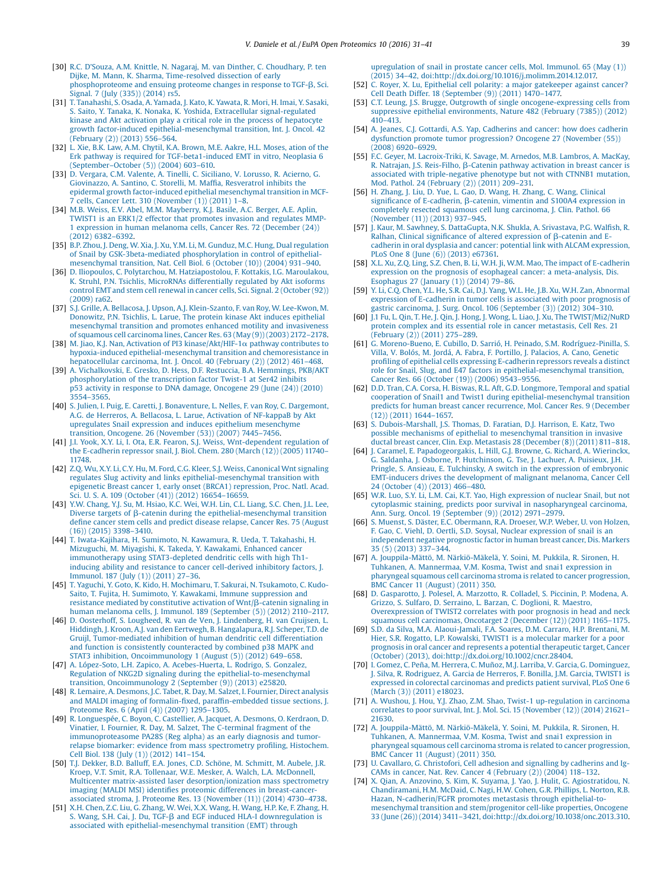- <span id="page-8-0"></span>[30] R.C. D'Souza, A.M. Knittle, N. Nagaraj, M. van Dinther, C. [Choudhary,](http://refhub.elsevier.com/S2212-9685(16)30003-4/sbref0150) P. ten Dijke, M. Mann, K. Sharma, [Time-resolved](http://refhub.elsevier.com/S2212-9685(16)30003-4/sbref0150) dissection of early [phosphoproteome](http://refhub.elsevier.com/S2212-9685(16)30003-4/sbref0150) and ensuing proteome changes in response to TGF- $\beta$ , Sci. [Signal.](http://refhub.elsevier.com/S2212-9685(16)30003-4/sbref0150) 7 (July (335)) (2014) rs5.
- [31] T. [Tanahashi,](http://refhub.elsevier.com/S2212-9685(16)30003-4/sbref0155) S. Osada, A. Yamada, J. Kato, K. Yawata, R. Mori, H. Imai, Y. Sasaki, S. Saito, Y. Tanaka, K. Nonaka, K. Yoshida, Extracellular [signal-regulated](http://refhub.elsevier.com/S2212-9685(16)30003-4/sbref0155) kinase and Akt activation play a critical role in the process of [hepatocyte](http://refhub.elsevier.com/S2212-9685(16)30003-4/sbref0155) growth factor-induced [epithelial-mesenchymal](http://refhub.elsevier.com/S2212-9685(16)30003-4/sbref0155) transition, Int. J. Oncol. 42 [\(February](http://refhub.elsevier.com/S2212-9685(16)30003-4/sbref0155) (2)) (2013) 556–564.
- [32] L. Xie, B.K. Law, A.M. Chytil, K.A. [Brown,](http://refhub.elsevier.com/S2212-9685(16)30003-4/sbref0160) M.E. Aakre, H.L. Moses, ation of the Erk pathway is required for [TGF-beta1-induced](http://refhub.elsevier.com/S2212-9685(16)30003-4/sbref0160) EMT in vitro, Neoplasia 6 [\(September](http://refhub.elsevier.com/S2212-9685(16)30003-4/sbref0160)–October (5)) (2004) 603–610.
- [33] D. Vergara, C.M. Valente, A. Tinelli, C. [Siciliano,](http://refhub.elsevier.com/S2212-9685(16)30003-4/sbref0165) V. Lorusso, R. Acierno, G. [Giovinazzo,](http://refhub.elsevier.com/S2212-9685(16)30003-4/sbref0165) A. Santino, C. Storelli, M. Maffia, Resveratrol inhibits the epidermal growth [factor-induced](http://refhub.elsevier.com/S2212-9685(16)30003-4/sbref0165) epithelial mesenchymal transition in MCF-cells, Cancer Lett. 310 [\(November](http://refhub.elsevier.com/S2212-9685(16)30003-4/sbref0165) (1)) (2011) 1-8.
- [34] M.B. Weiss, E.V. Abel, M.M. [Mayberry,](http://refhub.elsevier.com/S2212-9685(16)30003-4/sbref0170) K.J. Basile, A.C. Berger, A.E. Aplin, TWIST1 is an ERK1/2 effector that [promotes](http://refhub.elsevier.com/S2212-9685(16)30003-4/sbref0170) invasion and regulates MMP-1 expression in human melanoma cells, Cancer Res. 72 [\(December](http://refhub.elsevier.com/S2212-9685(16)30003-4/sbref0170) (24)) [\(2012\)](http://refhub.elsevier.com/S2212-9685(16)30003-4/sbref0170) 6382–6392.
- [35] B.P. Zhou, J. Deng, W. Xia, J. Xu, Y.M. Li, M. Gunduz, M.C. Hung, Dual [regulation](http://refhub.elsevier.com/S2212-9685(16)30003-4/sbref0175) of Snail by [GSK-3beta-mediated](http://refhub.elsevier.com/S2212-9685(16)30003-4/sbref0175) phosphorylation in control of epithelial[mesenchymal](http://refhub.elsevier.com/S2212-9685(16)30003-4/sbref0175) transition, Nat. Cell Biol. 6 (October (10)) (2004) 931–940.
- [36] D. Iliopoulos, C. Polytarchou, M. [Hatziapostolou,](http://refhub.elsevier.com/S2212-9685(16)30003-4/sbref0180) F. Kottakis, I.G. Maroulakou, K. Struhl, P.N. Tsichlis, MicroRNAs [differentially](http://refhub.elsevier.com/S2212-9685(16)30003-4/sbref0180) regulated by Akt isoforms control EMT and stem cell renewal in cancer cells, Sci. Signal. 2 [\(October](http://refhub.elsevier.com/S2212-9685(16)30003-4/sbref0180) (92)) [\(2009\)](http://refhub.elsevier.com/S2212-9685(16)30003-4/sbref0180) ra62.
- [37] S.J. Grille, A. Bellacosa, J. Upson, A.J. [Klein-Szanto,](http://refhub.elsevier.com/S2212-9685(16)30003-4/sbref0185) F. van Roy, W. Lee-Kwon, M. [Donowitz,](http://refhub.elsevier.com/S2212-9685(16)30003-4/sbref0185) P.N. Tsichlis, L. Larue, The protein kinase Akt induces epithelial [mesenchymal](http://refhub.elsevier.com/S2212-9685(16)30003-4/sbref0185) transition and promotes enhanced motility and invasiveness of squamous cell [carcinoma](http://refhub.elsevier.com/S2212-9685(16)30003-4/sbref0185) lines, Cancer Res. 63 (May (9)) (2003) 2172–2178.
- [38] M. Jiao, K.J. Nan, Activation of PI3 [kinase/Akt/HIF-1](http://refhub.elsevier.com/S2212-9685(16)30003-4/sbref0190) $\alpha$  pathway contributes to hypoxia-induced [epithelial-mesenchymal](http://refhub.elsevier.com/S2212-9685(16)30003-4/sbref0190) transition and chemoresistance in [hepatocellular](http://refhub.elsevier.com/S2212-9685(16)30003-4/sbref0190) carcinoma, Int. J. Oncol. 40 (February (2)) (2012) 461–468.
- [39] A. [Vichalkovski,](http://refhub.elsevier.com/S2212-9685(16)30003-4/sbref0195) E. Gresko, D. Hess, D.F. Restuccia, B.A. Hemmings, PKB/AKT [phosphorylation](http://refhub.elsevier.com/S2212-9685(16)30003-4/sbref0195) of the transcription factor Twist-1 at Ser42 inhibits p53 activity in response to DNA damage, [Oncogene](http://refhub.elsevier.com/S2212-9685(16)30003-4/sbref0195) 29 (June (24)) (2010) 3554–[3565.](http://refhub.elsevier.com/S2212-9685(16)30003-4/sbref0195)
- [40] S. Julien, I. Puig, E. Caretti, J. [Bonaventure,](http://refhub.elsevier.com/S2212-9685(16)30003-4/sbref0200) L. Nelles, F. van Roy, C. Dargemont, A.G. de Herreros, A. Bellacosa, L. Larue, Activation of [NF-kappaB](http://refhub.elsevier.com/S2212-9685(16)30003-4/sbref0200) by Akt upregulates Snail expression and induces epithelium [mesenchyme](http://refhub.elsevier.com/S2212-9685(16)30003-4/sbref0200) transition, Oncogene. 26 [\(November](http://refhub.elsevier.com/S2212-9685(16)30003-4/sbref0200) (53)) (2007) 7445–7456.
- [41] J.I. Yook, X.Y. Li, I. Ota, E.R. Fearon, S.J. Weiss, [Wnt-dependent](http://refhub.elsevier.com/S2212-9685(16)30003-4/sbref0205) regulation of the [E-cadherin](http://refhub.elsevier.com/S2212-9685(16)30003-4/sbref0205) repressor snail, J. Biol. Chem. 280 (March (12)) (2005) 11740– [11748.](http://refhub.elsevier.com/S2212-9685(16)30003-4/sbref0205)
- [42] Z.Q. Wu, X.Y. Li, C.Y. Hu, M. Ford, C.G. Kleer, S.J. Weiss, [Canonical](http://refhub.elsevier.com/S2212-9685(16)30003-4/sbref0210) Wnt signaling regulates Slug activity and links [epithelial-mesenchymal](http://refhub.elsevier.com/S2212-9685(16)30003-4/sbref0210) transition with epigenetic Breast cancer 1, early onset (BRCA1) [repression,](http://refhub.elsevier.com/S2212-9685(16)30003-4/sbref0210) Proc. Natl. Acad. Sci. U. S. A. 109 [\(October](http://refhub.elsevier.com/S2212-9685(16)30003-4/sbref0210) (41)) (2012) 16654–16659.
- [43] Y.W. [Chang,](http://refhub.elsevier.com/S2212-9685(16)30003-4/sbref0215) Y.J. Su, M. Hsiao, K.C. Wei, W.H. Lin, C.L. Liang, S.C. Chen, J.L. Lee, Diverse targets of b-catenin during the [epithelial-mesenchymal](http://refhub.elsevier.com/S2212-9685(16)30003-4/sbref0215) transition define cancer stem cells and predict disease relapse, Cancer Res. 75 [\(August](http://refhub.elsevier.com/S2212-9685(16)30003-4/sbref0215) (16)) [\(2015\)](http://refhub.elsevier.com/S2212-9685(16)30003-4/sbref0215) 3398–3410.
- [44] T. [Iwata-Kajihara,](http://refhub.elsevier.com/S2212-9685(16)30003-4/sbref0220) H. Sumimoto, N. Kawamura, R. Ueda, T. Takahashi, H. [Mizuguchi,](http://refhub.elsevier.com/S2212-9685(16)30003-4/sbref0220) M. Miyagishi, K. Takeda, Y. Kawakami, Enhanced cancer [immunotherapy](http://refhub.elsevier.com/S2212-9685(16)30003-4/sbref0220) using STAT3-depleted dendritic cells with high Th1 inducing ability and resistance to cancer [cell-derived](http://refhub.elsevier.com/S2212-9685(16)30003-4/sbref0220) inhibitory factors, J. [Immunol.](http://refhub.elsevier.com/S2212-9685(16)30003-4/sbref0220) 187 (July (1)) (2011) 27–36. [45] T. Yaguchi, Y. Goto, K. Kido, H. [Mochimaru,](http://refhub.elsevier.com/S2212-9685(16)30003-4/sbref0225) T. Sakurai, N. Tsukamoto, C. Kudo-
- Saito, T. Fujita, H. Sumimoto, Y. Kawakami, Immune [suppression](http://refhub.elsevier.com/S2212-9685(16)30003-4/sbref0225) and resistance mediated by [constitutive](http://refhub.elsevier.com/S2212-9685(16)30003-4/sbref0225) activation of Wnt/b-catenin signaling in human melanoma cells, J. Immunol. 189 [\(September](http://refhub.elsevier.com/S2212-9685(16)30003-4/sbref0225) (5)) (2012) 2110–2117.
- [46] D. Oosterhoff, S. Lougheed, R. van de Ven, J. [Lindenberg,](http://refhub.elsevier.com/S2212-9685(16)30003-4/sbref0230) H. van Cruijsen, L. Hiddingh, J. Kroon, A.J. van den Eertwegh, B. [Hangalapura,](http://refhub.elsevier.com/S2212-9685(16)30003-4/sbref0230) R.J. Scheper, T.D. de Gruijl, [Tumor-mediated](http://refhub.elsevier.com/S2212-9685(16)30003-4/sbref0230) inhibition of human dendritic cell differentiation and function is consistently [counteracted](http://refhub.elsevier.com/S2212-9685(16)30003-4/sbref0230) by combined p38 MAPK and STAT3 inhibition, [Oncoimmunology](http://refhub.elsevier.com/S2212-9685(16)30003-4/sbref0230) 1 (August (5)) (2012) 649–658.
- [47] A. López-Soto, L.H. Zapico, A. [Acebes-Huerta,](http://refhub.elsevier.com/S2212-9685(16)30003-4/sbref0235) L. Rodrigo, S. Gonzalez, Regulation of NKG2D signaling during the [epithelial-to-mesenchymal](http://refhub.elsevier.com/S2212-9685(16)30003-4/sbref0235) transition, [Oncoimmunology](http://refhub.elsevier.com/S2212-9685(16)30003-4/sbref0235) 2 (September (9)) (2013) e25820.
- [48] R. Lemaire, A. [Desmons,](http://refhub.elsevier.com/S2212-9685(16)30003-4/sbref0240) J.C. Tabet, R. Day, M. Salzet, I. Fournier, Direct analysis and MALDI imaging of formalin-fixed, paraffi[n-embedded](http://refhub.elsevier.com/S2212-9685(16)30003-4/sbref0240) tissue sections, J. [Proteome](http://refhub.elsevier.com/S2212-9685(16)30003-4/sbref0240) Res. 6 (April (4)) (2007) 1295–1305.
- [49] R. [Longuespée,](http://refhub.elsevier.com/S2212-9685(16)30003-4/sbref0245) C. Boyon, C. Castellier, A. Jacquet, A. Desmons, O. Kerdraon, D. Vinatier, I. Fournier, R. Day, M. Salzet, The [C-terminal](http://refhub.elsevier.com/S2212-9685(16)30003-4/sbref0245) fragment of the [immunoproteasome](http://refhub.elsevier.com/S2212-9685(16)30003-4/sbref0245) PA28S (Reg alpha) as an early diagnosis and tumorrelapse biomarker: evidence from mass [spectrometry](http://refhub.elsevier.com/S2212-9685(16)30003-4/sbref0245) profiling, Histochem. Cell Biol. 138 (July (1)) [\(2012\)](http://refhub.elsevier.com/S2212-9685(16)30003-4/sbref0245) 141–154.
- [50] T.J. Dekker, B.D. Balluff, E.A. Jones, C.D. Schöne, M. [Schmitt,](http://refhub.elsevier.com/S2212-9685(16)30003-4/sbref0250) M. Aubele, J.R. Kroep, V.T. Smit, R.A. Tollenaar, W.E. Mesker, A. Walch, L.A. [McDonnell,](http://refhub.elsevier.com/S2212-9685(16)30003-4/sbref0250) Multicenter matrix-assisted laser [desorption/ionization](http://refhub.elsevier.com/S2212-9685(16)30003-4/sbref0250) mass spectrometry imaging (MALDI MSI) identifies proteomic differences in [breast-cancer](http://refhub.elsevier.com/S2212-9685(16)30003-4/sbref0250)associated stroma, J. Proteome Res. 13 [\(November](http://refhub.elsevier.com/S2212-9685(16)30003-4/sbref0250) (11)) (2014) 4730–4738.
- [51] X.H. Chen, Z.C. Liu, G. [Zhang,](http://refhub.elsevier.com/S2212-9685(16)30003-4/sbref0255) W. Wei, X.X. Wang, H. Wang, H.P. Ke, F. Zhang, H. S. Wang, S.H. Cai, J. Du, TGF- $\beta$  and EGF induced HLA-I [downregulation](http://refhub.elsevier.com/S2212-9685(16)30003-4/sbref0255) is associated with [epithelial-mesenchymal](http://refhub.elsevier.com/S2212-9685(16)30003-4/sbref0255) transition (EMT) through

[upregulation](http://refhub.elsevier.com/S2212-9685(16)30003-4/sbref0255) of snail in prostate cancer cells, Mol. Immunol. 65 (May (1)) (2015) 34–42, [doi:http://dx.doi.org/10.1016/j.molimm.2014.12.017.](http://refhub.elsevier.com/S2212-9685(16)30003-4/sbref0255)

- [52] C. Royer, X. Lu, Epithelial cell polarity: a major [gatekeeper](http://refhub.elsevier.com/S2212-9685(16)30003-4/sbref0260) against cancer? Cell Death Differ. 18 [\(September](http://refhub.elsevier.com/S2212-9685(16)30003-4/sbref0260) (9)) (2011) 1470–1477.
- [53] C.T. Leung, J.S. Brugge, Outgrowth of single [oncogene-expressing](http://refhub.elsevier.com/S2212-9685(16)30003-4/sbref0265) cells from suppressive epithelial [environments,](http://refhub.elsevier.com/S2212-9685(16)30003-4/sbref0265) Nature 482 (February (7385)) (2012) 410–[413.](http://refhub.elsevier.com/S2212-9685(16)30003-4/sbref0265)
- [54] A. Jeanes, C.J. Gottardi, A.S. Yap, [Cadherins](http://refhub.elsevier.com/S2212-9685(16)30003-4/sbref0270) and cancer: how does cadherin dysfunction promote tumor [progression?](http://refhub.elsevier.com/S2212-9685(16)30003-4/sbref0270) Oncogene 27 (November (55)) [\(2008\)](http://refhub.elsevier.com/S2212-9685(16)30003-4/sbref0270) 6920–6929.
- [55] F.C. Geyer, M. [Lacroix-Triki,](http://refhub.elsevier.com/S2212-9685(16)30003-4/sbref0275) K. Savage, M. Arnedos, M.B. Lambros, A. MacKay, R. Natrajan, J.S. [Reis-Filho,](http://refhub.elsevier.com/S2212-9685(16)30003-4/sbref0275) β-Catenin pathway activation in breast cancer is associated with [triple-negative](http://refhub.elsevier.com/S2212-9685(16)30003-4/sbref0275) phenotype but not with CTNNB1 mutation, Mod. Pathol. 24 [\(February](http://refhub.elsevier.com/S2212-9685(16)30003-4/sbref0275) (2)) (2011) 209–231.
- [56] H. Zhang, J. Liu, D. Yue, L. Gao, D. Wang, H. Zhang, C. Wang, [Clinical](http://refhub.elsevier.com/S2212-9685(16)30003-4/sbref0280) significance of [E-cadherin,](http://refhub.elsevier.com/S2212-9685(16)30003-4/sbref0280) β-catenin, vimentin and S100A4 expression in [completely](http://refhub.elsevier.com/S2212-9685(16)30003-4/sbref0280) resected squamous cell lung carcinoma, J. Clin. Pathol. 66 [\(November](http://refhub.elsevier.com/S2212-9685(16)30003-4/sbref0280) (11)) (2013) 937–945.
- [57] J. Kaur, M. Sawhney, S. [DattaGupta,](http://refhub.elsevier.com/S2212-9685(16)30003-4/sbref0285) N.K. Shukla, A. Srivastava, P.G. Walfish, R. Ralhan, Clinical significance of altered [expression](http://refhub.elsevier.com/S2212-9685(16)30003-4/sbref0285) of  $\beta$ -catenin and Ecadherin in oral dysplasia and cancer: potential link with ALCAM [expression,](http://refhub.elsevier.com/S2212-9685(16)30003-4/sbref0285) PLoS One 8 (June (6)) (2013) e67361
- [58] X.L. Xu, Z.Q. Ling, S.Z. Chen, B. Li, W.H. Ji, W.M. Mao, The impact of [E-cadherin](http://refhub.elsevier.com/S2212-9685(16)30003-4/sbref0290) expression on the prognosis of esophageal cancer: a [meta-analysis,](http://refhub.elsevier.com/S2212-9685(16)30003-4/sbref0290) Dis. [Esophagus](http://refhub.elsevier.com/S2212-9685(16)30003-4/sbref0290) 27 (January (1)) (2014) 79–86.
- [59] Y. Li, C.Q. Chen, Y.L. He, S.R. Cai, D.J. Yang, W.L. He, J.B. Xu, W.H. Zan, [Abnormal](http://refhub.elsevier.com/S2212-9685(16)30003-4/sbref0295) expression of [E-cadherin](http://refhub.elsevier.com/S2212-9685(16)30003-4/sbref0295) in tumor cells is associated with poor prognosis of gastric carcinoma, J. Surg. Oncol. 106 [\(September](http://refhub.elsevier.com/S2212-9685(16)30003-4/sbref0295) (3)) (2012) 304–310.
- [60] J.1 Fu, L. Qin, T. He, J. Qin, J. Hong, J. Wong, L. Liao, J. Xu, The [TWIST/Mi2/NuRD](http://refhub.elsevier.com/S2212-9685(16)30003-4/sbref0300) protein complex and its essential role in cancer [metastasis,](http://refhub.elsevier.com/S2212-9685(16)30003-4/sbref0300) Cell Res. 21 [\(February](http://refhub.elsevier.com/S2212-9685(16)30003-4/sbref0300) (2)) (2011) 275–289.
- [61] G. Moreno-Bueno, E. Cubillo, D. Sarrió, H. Peinado, S.M. [Rodríguez-Pinilla,](http://refhub.elsevier.com/S2212-9685(16)30003-4/sbref0305) S. Villa, V. Bolós, M. Jordá, A. Fabra, F. Portillo, J. [Palacios,](http://refhub.elsevier.com/S2212-9685(16)30003-4/sbref0305) A. Cano, Genetic profiling of epithelial cells expressing [E-cadherin](http://refhub.elsevier.com/S2212-9685(16)30003-4/sbref0305) repressors reveals a distinct role for Snail, Slug, and E47 factors in [epithelial-mesenchymal](http://refhub.elsevier.com/S2212-9685(16)30003-4/sbref0305) transition, Cancer Res. 66 [\(October](http://refhub.elsevier.com/S2212-9685(16)30003-4/sbref0305) (19)) (2006) 9543–9556.
- [62] D.D. Tran, C.A. Corsa, H. Biswas, R.L. Aft, G.D. [Longmore,](http://refhub.elsevier.com/S2212-9685(16)30003-4/sbref0310) Temporal and spatial cooperation of Snail1 and Twist1 during [epithelial-mesenchymal](http://refhub.elsevier.com/S2212-9685(16)30003-4/sbref0310) transition predicts for human breast cancer [recurrence,](http://refhub.elsevier.com/S2212-9685(16)30003-4/sbref0310) Mol. Cancer Res. 9 (December (12)) [\(2011\)](http://refhub.elsevier.com/S2212-9685(16)30003-4/sbref0310) 1644–1657.
- [63] S. [Dubois-Marshall,](http://refhub.elsevier.com/S2212-9685(16)30003-4/sbref0315) J.S. Thomas, D. Faratian, D.J. Harrison, E. Katz, Two possible mechanisms of epithelial to [mesenchymal](http://refhub.elsevier.com/S2212-9685(16)30003-4/sbref0315) transition in invasive ductal breast cancer, Clin. Exp. Metastasis 28 [\(December](http://refhub.elsevier.com/S2212-9685(16)30003-4/sbref0315) (8)) (2011) 811–818.
- [64] J. Caramel, E. [Papadogeorgakis,](http://refhub.elsevier.com/S2212-9685(16)30003-4/sbref0320) L. Hill, G.J. Browne, G. Richard, A. Wierinckx, G. Saldanha, J. Osborne, P. [Hutchinson,](http://refhub.elsevier.com/S2212-9685(16)30003-4/sbref0320) G. Tse, J. Lachuer, A. Puisieux, J.H. Pringle, S. Ansieau, E. [Tulchinsky,](http://refhub.elsevier.com/S2212-9685(16)30003-4/sbref0320) A switch in the expression of embryonic [EMT-inducers](http://refhub.elsevier.com/S2212-9685(16)30003-4/sbref0320) drives the development of malignant melanoma, Cancer Cell 24 [\(October](http://refhub.elsevier.com/S2212-9685(16)30003-4/sbref0320) (4)) (2013) 466–480.
- [65] W.R. Luo, S.Y. Li, L.M. Cai, K.T. Yao, High [expression](http://refhub.elsevier.com/S2212-9685(16)30003-4/sbref0325) of nuclear Snail, but not cytoplasmic staining, predicts poor survival in [nasopharyngeal](http://refhub.elsevier.com/S2212-9685(16)30003-4/sbref0325) carcinoma, Ann. Surg. Oncol. 19 [\(September](http://refhub.elsevier.com/S2212-9685(16)30003-4/sbref0325) (9)) (2012) 2971–2979.
- [66] S. Muenst, S. Däster, E.C. [Obermann,](http://refhub.elsevier.com/S2212-9685(16)30003-4/sbref0330) R.A. Droeser, W.P. Weber, U. von Holzen, F. Gao, C. Viehl, D. Oertli, S.D. Soysal, Nuclear [expression](http://refhub.elsevier.com/S2212-9685(16)30003-4/sbref0330) of snail is an [independent](http://refhub.elsevier.com/S2212-9685(16)30003-4/sbref0330) negative prognostic factor in human breast cancer, Dis. Markers 35 (5) [\(2013\)](http://refhub.elsevier.com/S2212-9685(16)30003-4/sbref0330) 337–344.
- [67] A. [Jouppila-Mättö,](http://refhub.elsevier.com/S2212-9685(16)30003-4/sbref0335) M. Närkiö-Mäkelä, Y. Soini, M. Pukkila, R. Sironen, H. Tuhkanen, A. [Mannermaa,](http://refhub.elsevier.com/S2212-9685(16)30003-4/sbref0335) V.M. Kosma, Twist and snai1 expression in pharyngeal squamous cell carcinoma stroma is related to cancer [progression,](http://refhub.elsevier.com/S2212-9685(16)30003-4/sbref0335) BMC Cancer 11 [\(August\)](http://refhub.elsevier.com/S2212-9685(16)30003-4/sbref0335) (2011) 350.
- [68] D. [Gasparotto,](http://refhub.elsevier.com/S2212-9685(16)30003-4/sbref0340) J. Polesel, A. Marzotto, R. Colladel, S. Piccinin, P. Modena, A. Grizzo, S. Sulfaro, D. Serraino, L. Barzan, C. [Doglioni,](http://refhub.elsevier.com/S2212-9685(16)30003-4/sbref0340) R. Maestro, [Overexpression](http://refhub.elsevier.com/S2212-9685(16)30003-4/sbref0340) of TWIST2 correlates with poor prognosis in head and neck squamous cell [carcinomas,](http://refhub.elsevier.com/S2212-9685(16)30003-4/sbref0340) Oncotarget 2 (December (12)) (2011) 1165–1175.
- [69] S.D. da Silva, M.A. [Alaoui-Jamali,](http://refhub.elsevier.com/S2212-9685(16)30003-4/sbref0345) F.A. Soares, D.M. Carraro, H.P. Brentani, M. Hier, S.R. Rogatto, L.P. Kowalski, TWIST1 is a [molecular](http://refhub.elsevier.com/S2212-9685(16)30003-4/sbref0345) marker for a poor prognosis in oral cancer and represents a potential [therapeutic](http://refhub.elsevier.com/S2212-9685(16)30003-4/sbref0345) target, Cancer (October) (2013), [doi:http://dx.doi.org/10.1002/cncr.28404.](http://refhub.elsevier.com/S2212-9685(16)30003-4/sbref0345)
- [70] I. Gomez, C. Peña, M. Herrera, C. Muñoz, M.J. Larriba, V. Garcia, G. [Dominguez,](http://refhub.elsevier.com/S2212-9685(16)30003-4/sbref0350) J. Silva, R. [Rodriguez,](http://refhub.elsevier.com/S2212-9685(16)30003-4/sbref0350) A. Garcia de Herreros, F. Bonilla, J.M. Garcia, TWIST1 is expressed in colorectal [carcinomas](http://refhub.elsevier.com/S2212-9685(16)30003-4/sbref0350) and predicts patient survival, PLoS One 6 (March (3)) (2011) [e18023.](http://refhub.elsevier.com/S2212-9685(16)30003-4/sbref0350)
- [71] A. Wushou, J. Hou, Y.J. Zhao, Z.M. Shao, Twist-1 [up-regulation](http://refhub.elsevier.com/S2212-9685(16)30003-4/sbref0355) in carcinoma correlates to poor survival, Int. J. Mol. Sci. 15 [\(November](http://refhub.elsevier.com/S2212-9685(16)30003-4/sbref0355) (12)) (2014) 21621– [21630.](http://refhub.elsevier.com/S2212-9685(16)30003-4/sbref0355)
- [72] A. [Jouppila-Mättö,](http://refhub.elsevier.com/S2212-9685(16)30003-4/sbref0360) M. Närkiö-Mäkelä, Y. Soini, M. Pukkila, R. Sironen, H. Tuhkanen, A. [Mannermaa,](http://refhub.elsevier.com/S2212-9685(16)30003-4/sbref0360) V.M. Kosma, Twist and snai1 expression in pharyngeal squamous cell carcinoma stroma is related to cancer [progression,](http://refhub.elsevier.com/S2212-9685(16)30003-4/sbref0360) BMC Cancer 11 [\(August\)](http://refhub.elsevier.com/S2212-9685(16)30003-4/sbref0360) (2011) 350.
- [73] U. Cavallaro, G. [Christofori,](http://refhub.elsevier.com/S2212-9685(16)30003-4/sbref0365) Cell adhesion and signalling by cadherins and Ig-CAMs in cancer, Nat. Rev. Cancer 4 [\(February](http://refhub.elsevier.com/S2212-9685(16)30003-4/sbref0365) (2)) (2004) 118–132.
- [74] X. Qian, A. Anzovino, S. Kim, K. Suyama, J. Yao, J. Hulit, G. [Agiostratidou,](http://refhub.elsevier.com/S2212-9685(16)30003-4/sbref0370) N. [Chandiramani,](http://refhub.elsevier.com/S2212-9685(16)30003-4/sbref0370) H.M. McDaid, C. Nagi, H.W. Cohen, G.R. Phillips, L. Norton, R.B. Hazan, [N-cadherin/FGFR](http://refhub.elsevier.com/S2212-9685(16)30003-4/sbref0370) promotes metastasis through epithelial-tomesenchymal transition and [stem/progenitor](http://refhub.elsevier.com/S2212-9685(16)30003-4/sbref0370) cell-like properties, Oncogene 33 (June (26)) (2014) 3411–3421, [doi:http://dx.doi.org/10.1038/onc.2013.310.](http://refhub.elsevier.com/S2212-9685(16)30003-4/sbref0370)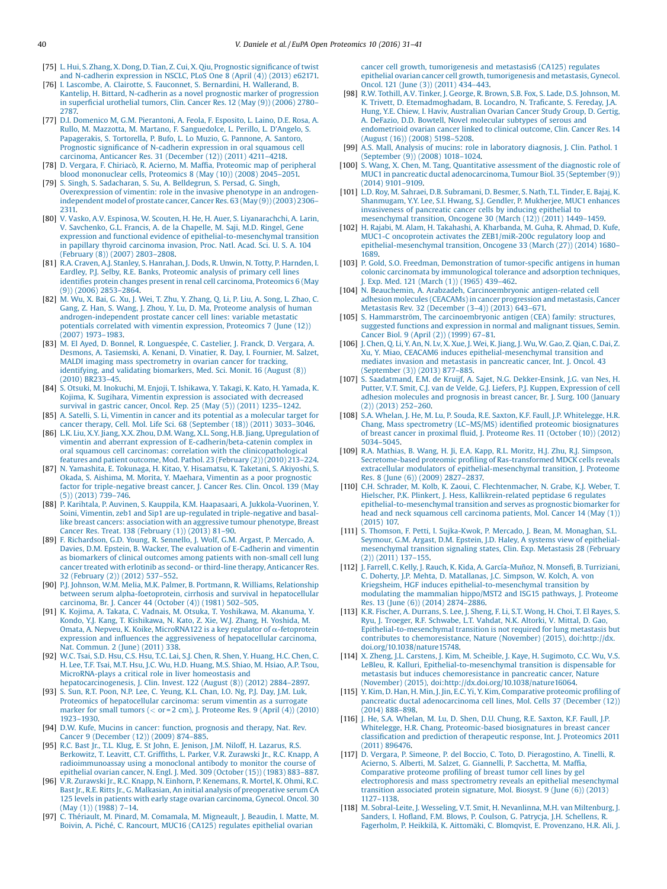- <span id="page-9-0"></span>[75] L. Hui, S. Zhang, X. Dong, D. Tian, Z. Cui, X. Qiu, [Prognostic](http://refhub.elsevier.com/S2212-9685(16)30003-4/sbref0375) significance of twist and [N-cadherin](http://refhub.elsevier.com/S2212-9685(16)30003-4/sbref0375) expression in NSCLC, PLoS One 8 (April (4)) (2013) e62171.
- [76] I. Lascombe, A. Clairotte, S. Fauconnet, S. [Bernardini,](http://refhub.elsevier.com/S2212-9685(16)30003-4/sbref0380) H. Wallerand, B. Kantelip, H. Bittard, N-cadherin as a novel prognostic marker of [progression](http://refhub.elsevier.com/S2212-9685(16)30003-4/sbref0380) in superficial [urothelial](http://refhub.elsevier.com/S2212-9685(16)30003-4/sbref0380) tumors, Clin. Cancer Res. 12 (May (9)) (2006) 2780– [2787.](http://refhub.elsevier.com/S2212-9685(16)30003-4/sbref0380)
- [77] D.I. Domenico M, G.M. [Pierantoni,](http://refhub.elsevier.com/S2212-9685(16)30003-4/sbref0385) A. Feola, F. Esposito, L. Laino, D.E. Rosa, A. Rullo, M. Mazzotta, M. Martano, F. [Sanguedolce,](http://refhub.elsevier.com/S2212-9685(16)30003-4/sbref0385) L. Perillo, L. D'Angelo, S. [Papagerakis,](http://refhub.elsevier.com/S2212-9685(16)30003-4/sbref0385) S. Tortorella, P. Bufo, L. Lo Muzio, G. Pannone, A. Santoro, Prognostic significance of [N-cadherin](http://refhub.elsevier.com/S2212-9685(16)30003-4/sbref0385) expression in oral squamous cell carcinoma, Anticancer Res. 31 [\(December](http://refhub.elsevier.com/S2212-9685(16)30003-4/sbref0385) (12)) (2011) 4211–4218.
- [78] D. Vergara, F. Chiriacò, R. Acierno, M. Maffia, Proteomic map of [peripheral](http://refhub.elsevier.com/S2212-9685(16)30003-4/sbref0390) blood [mononuclear](http://refhub.elsevier.com/S2212-9685(16)30003-4/sbref0390) cells, Proteomics 8 (May (10)) (2008) 2045–2051.
- [79] S. Singh, S. [Sadacharan,](http://refhub.elsevier.com/S2212-9685(16)30003-4/sbref0395) S. Su, A. Belldegrun, S. Persad, G. Singh, [Overexpression](http://refhub.elsevier.com/S2212-9685(16)30003-4/sbref0395) of vimentin: role in the invasive phenotype in an androgen[independent](http://refhub.elsevier.com/S2212-9685(16)30003-4/sbref0395) model of prostate cancer, Cancer Res. 63 (May (9)) (2003) 2306– [2311.](http://refhub.elsevier.com/S2212-9685(16)30003-4/sbref0395)
- [80] V. Vasko, A.V. Espinosa, W. Scouten, H. He, H. Auer, S. [Liyanarachchi,](http://refhub.elsevier.com/S2212-9685(16)30003-4/sbref0400) A. Larin, V. [Savchenko,](http://refhub.elsevier.com/S2212-9685(16)30003-4/sbref0400) G.L. Francis, A. de la Chapelle, M. Saji, M.D. Ringel, Gene expression and functional evidence of [epithelial-to-mesenchymal](http://refhub.elsevier.com/S2212-9685(16)30003-4/sbref0400) transition in papillary thyroid [carcinoma](http://refhub.elsevier.com/S2212-9685(16)30003-4/sbref0400) invasion, Proc. Natl. Acad. Sci. U. S. A. 104 [\(February](http://refhub.elsevier.com/S2212-9685(16)30003-4/sbref0400) (8)) (2007) 2803–2808.
- [81] R.A. Craven, A.J. Stanley, S. [Hanrahan,](http://refhub.elsevier.com/S2212-9685(16)30003-4/sbref0405) J. Dods, R. Unwin, N. Totty, P. Harnden, I. Eardley, P.J. Selby, R.E. Banks, [Proteomic](http://refhub.elsevier.com/S2212-9685(16)30003-4/sbref0405) analysis of primary cell lines identifies protein changes present in renal cell carcinoma, [Proteomics](http://refhub.elsevier.com/S2212-9685(16)30003-4/sbref0405) 6 (May (9)) [\(2006\)](http://refhub.elsevier.com/S2212-9685(16)30003-4/sbref0405) 2853–2864.
- [82] M. Wu, X. Bai, G. Xu, J. Wei, T. Zhu, Y. [Zhang,](http://refhub.elsevier.com/S2212-9685(16)30003-4/sbref0410) Q. Li, P. Liu, A. Song, L. Zhao, C. Gang, Z. Han, S. Wang, J. Zhou, Y. Lu, D. Ma, [Proteome](http://refhub.elsevier.com/S2212-9685(16)30003-4/sbref0410) analysis of human [androgen-independent](http://refhub.elsevier.com/S2212-9685(16)30003-4/sbref0410) prostate cancer cell lines: variable metastatic potentials correlated with vimentin [expression,](http://refhub.elsevier.com/S2212-9685(16)30003-4/sbref0410) Proteomics 7 (June (12)) [\(2007\)](http://refhub.elsevier.com/S2212-9685(16)30003-4/sbref0410) 1973–1983.
- [83] M. El Ayed, D. Bonnel, R. [Longuespée,](http://refhub.elsevier.com/S2212-9685(16)30003-4/sbref0415) C. Castelier, J. Franck, D. Vergara, A. Desmons, A. [Tasiemski,](http://refhub.elsevier.com/S2212-9685(16)30003-4/sbref0415) A. Kenani, D. Vinatier, R. Day, I. Fournier, M. Salzet, MALDI imaging mass [spectrometry](http://refhub.elsevier.com/S2212-9685(16)30003-4/sbref0415) in ovarian cancer for tracking, identifying, and validating [biomarkers,](http://refhub.elsevier.com/S2212-9685(16)30003-4/sbref0415) Med. Sci. Monit. 16 (August (8)) (2010) [BR233](http://refhub.elsevier.com/S2212-9685(16)30003-4/sbref0415)–45.
- [84] S. Otsuki, M. Inokuchi, M. Enjoji, T. [Ishikawa,](http://refhub.elsevier.com/S2212-9685(16)30003-4/sbref0420) Y. Takagi, K. Kato, H. Yamada, K. Kojima, K. Sugihara, Vimentin [expression](http://refhub.elsevier.com/S2212-9685(16)30003-4/sbref0420) is associated with decreased [survival](http://refhub.elsevier.com/S2212-9685(16)30003-4/sbref0420) in gastric cancer, Oncol. Rep. 25 (May (5)) (2011) 1235–1242.
- [85] A. Satelli, S. Li, Vimentin in cancer and its potential as a [molecular](http://refhub.elsevier.com/S2212-9685(16)30003-4/sbref0425) target for cancer therapy, Cell. Mol. Life Sci. 68 [\(September](http://refhub.elsevier.com/S2212-9685(16)30003-4/sbref0425) (18)) (2011) 3033–3046.
- [86] L.K. Liu, X.Y. Jiang, X.X. Zhou, D.M. Wang, X.L. Song, H.B. Jiang, [Upregulation](http://refhub.elsevier.com/S2212-9685(16)30003-4/sbref0430) of vimentin and aberrant expression of [E-cadherin/beta-catenin](http://refhub.elsevier.com/S2212-9685(16)30003-4/sbref0430) complex in oral squamous cell carcinomas: correlation with the [clinicopathological](http://refhub.elsevier.com/S2212-9685(16)30003-4/sbref0430) features and patient outcome, Mod. Pathol. 23 [\(February](http://refhub.elsevier.com/S2212-9685(16)30003-4/sbref0430) (2)) (2010) 213–224.
- [87] N. Yamashita, E. Tokunaga, H. Kitao, Y. [Hisamatsu,](http://refhub.elsevier.com/S2212-9685(16)30003-4/sbref0435) K. Taketani, S. Akiyoshi, S. Okada, S. Aishima, M. Morita, Y. Maehara, Vimentin as a poor [prognostic](http://refhub.elsevier.com/S2212-9685(16)30003-4/sbref0435) factor for [triple-negative](http://refhub.elsevier.com/S2212-9685(16)30003-4/sbref0435) breast cancer, J. Cancer Res. Clin. Oncol. 139 (May  $(5)$ ) [\(2013\)](http://refhub.elsevier.com/S2212-9685(16)30003-4/sbref0435) 739-746.
- [88] P. Karihtala, P. Auvinen, S. Kauppila, K.M. Haapasaari, A. [Jukkola-Vuorinen,](http://refhub.elsevier.com/S2212-9685(16)30003-4/sbref0440) Y. Soini, Vimentin, zeb1 and Sip1 are up-regulated in [triple-negative](http://refhub.elsevier.com/S2212-9685(16)30003-4/sbref0440) and basallike breast cancers: association with an aggressive tumour [phenotype,](http://refhub.elsevier.com/S2212-9685(16)30003-4/sbref0440) Breast Cancer Res. Treat. 138 [\(February](http://refhub.elsevier.com/S2212-9685(16)30003-4/sbref0440) (1)) (2013) 81–90.
- [89] F. [Richardson,](http://refhub.elsevier.com/S2212-9685(16)30003-4/sbref0445) G.D. Young, R. Sennello, J. Wolf, G.M. Argast, P. Mercado, A. Davies, D.M. Epstein, B. Wacker, The evaluation of [E-Cadherin](http://refhub.elsevier.com/S2212-9685(16)30003-4/sbref0445) and vimentin as [biomarkers](http://refhub.elsevier.com/S2212-9685(16)30003-4/sbref0445) of clinical outcomes among patients with non-small cell lung cancer treated with erlotinib as second- or third-line therapy, [Anticancer](http://refhub.elsevier.com/S2212-9685(16)30003-4/sbref0445) Res. 32 [\(February](http://refhub.elsevier.com/S2212-9685(16)30003-4/sbref0445) (2)) (2012) 537–552.
- [90] P.J. Johnson, W.M. Melia, M.K. Palmer, B. Portmann, R. Williams, [Relationship](http://refhub.elsevier.com/S2212-9685(16)30003-4/sbref0450) between serum [alpha-foetoprotein,](http://refhub.elsevier.com/S2212-9685(16)30003-4/sbref0450) cirrhosis and survival in hepatocellular [carcinoma,](http://refhub.elsevier.com/S2212-9685(16)30003-4/sbref0450) Br. J. Cancer 44 (October (4)) (1981) 502–505.
- [91] K. Kojima, A. Takata, C. Vadnais, M. Otsuka, T. [Yoshikawa,](http://refhub.elsevier.com/S2212-9685(16)30003-4/sbref0455) M. Akanuma, Y. Kondo, Y.J. Kang, T. [Kishikawa,](http://refhub.elsevier.com/S2212-9685(16)30003-4/sbref0455) N. Kato, Z. Xie, W.J. Zhang, H. Yoshida, M. Omata, A. Nepveu, K. Koike, [MicroRNA122](http://refhub.elsevier.com/S2212-9685(16)30003-4/sbref0455) is a key regulator of  $\alpha$ -fetoprotein expression and influences the [aggressiveness](http://refhub.elsevier.com/S2212-9685(16)30003-4/sbref0455) of hepatocellular carcinoma, Nat. [Commun.](http://refhub.elsevier.com/S2212-9685(16)30003-4/sbref0455) 2 (June) (2011) 338.
- [92] W.C. Tsai, S.D. Hsu, C.S. Hsu, T.C. Lai, S.J. Chen, R. Shen, Y. [Huang,](http://refhub.elsevier.com/S2212-9685(16)30003-4/sbref0460) H.C. Chen, C. H. Lee, T.F. Tsai, M.T. Hsu, J.C. Wu, H.D. [Huang,](http://refhub.elsevier.com/S2212-9685(16)30003-4/sbref0460) M.S. Shiao, M. Hsiao, A.P. Tsou, [MicroRNA-plays](http://refhub.elsevier.com/S2212-9685(16)30003-4/sbref0460) a critical role in liver homeostasis and [hepatocarcinogenesis,](http://refhub.elsevier.com/S2212-9685(16)30003-4/sbref0460) J. Clin. Invest. 122 (August (8)) (2012) 2884–2897.
- [93] S. Sun, R.T. Poon, N.P. Lee, C. [Yeung,](http://refhub.elsevier.com/S2212-9685(16)30003-4/sbref0465) K.L. Chan, I.O. Ng, P.J. Day, J.M. Luk, Proteomics of [hepatocellular](http://refhub.elsevier.com/S2212-9685(16)30003-4/sbref0465) carcinoma: serum vimentin as a surrogate marker for small tumors (< or = 2 cm), J. [Proteome](http://refhub.elsevier.com/S2212-9685(16)30003-4/sbref0465) Res. 9 (April (4)) (2010)
- 1923–[1930](http://refhub.elsevier.com/S2212-9685(16)30003-4/sbref0465). [94] D.W. Kufe, Mucins in cancer: function, [prognosis](http://refhub.elsevier.com/S2212-9685(16)30003-4/sbref0470) and therapy, Nat. Rev. Cancer 9 [\(December](http://refhub.elsevier.com/S2212-9685(16)30003-4/sbref0470) (12)) (2009) 874–885.
- [95] R.C. Bast Jr., T.L. Klug, E. St John, E. Jenison, J.M. Niloff, H. [Lazarus,](http://refhub.elsevier.com/S2212-9685(16)30003-4/sbref0475) R.S. [Berkowitz,](http://refhub.elsevier.com/S2212-9685(16)30003-4/sbref0475) T. Leavitt, C.T. Griffiths, L. Parker, V.R. Zurawski Jr., R.C. Knapp, A [radioimmunoassay](http://refhub.elsevier.com/S2212-9685(16)30003-4/sbref0475) using a monoclonal antibody to monitor the course of [epithelial](http://refhub.elsevier.com/S2212-9685(16)30003-4/sbref0475) ovarian cancer, N. Engl. J. Med. 309 (October (15)) (1983) 883–887.
- [96] V.R. Zurawski Jr., R.C. Knapp, N. Einhorn, P. [Kenemans,](http://refhub.elsevier.com/S2212-9685(16)30003-4/sbref0480) R. Mortel, K. Ohmi, R.C. Bast Jr., R.E. Ritts Jr., G. Malkasian, An initial analysis of [preoperative](http://refhub.elsevier.com/S2212-9685(16)30003-4/sbref0480) serum CA 125 levels in patients with early stage ovarian [carcinoma,](http://refhub.elsevier.com/S2212-9685(16)30003-4/sbref0480) Gynecol. Oncol. 30 (May (1)) [\(1988\)](http://refhub.elsevier.com/S2212-9685(16)30003-4/sbref0480) 7–14.
- [97] C. Thériault, M. Pinard, M. [Comamala,](http://refhub.elsevier.com/S2212-9685(16)30003-4/sbref0485) M. Migneault, J. Beaudin, I. Matte, M. Boivin, A. Piché, C. [Rancourt,](http://refhub.elsevier.com/S2212-9685(16)30003-4/sbref0485) MUC16 (CA125) regulates epithelial ovarian

cancer cell growth, [tumorigenesis](http://refhub.elsevier.com/S2212-9685(16)30003-4/sbref0485) and metastasis6 (CA125) regulates epithelial ovarian cancer cell growth, [tumorigenesis](http://refhub.elsevier.com/S2212-9685(16)30003-4/sbref0485) and metastasis, Gynecol. Oncol. 121 (June (3)) [\(2011\)](http://refhub.elsevier.com/S2212-9685(16)30003-4/sbref0485) 434–443.

- [98] R.W. Tothill, A.V. Tinker, J. George, R. Brown, S.B. Fox, S. Lade, D.S. [Johnson,](http://refhub.elsevier.com/S2212-9685(16)30003-4/sbref0490) M. K. Trivett, D. [Etemadmoghadam,](http://refhub.elsevier.com/S2212-9685(16)30003-4/sbref0490) B. Locandro, N. Traficante, S. Fereday, J.A. Hung, Y.E. Chiew, I. Haviv, [Australian](http://refhub.elsevier.com/S2212-9685(16)30003-4/sbref0490) Ovarian Cancer Study Group, D. Gertig, A. DeFazio, D.D. Bowtell, Novel [molecular](http://refhub.elsevier.com/S2212-9685(16)30003-4/sbref0490) subtypes of serous and [endometrioid](http://refhub.elsevier.com/S2212-9685(16)30003-4/sbref0490) ovarian cancer linked to clinical outcome, Clin. Cancer Res. 14 [\(August](http://refhub.elsevier.com/S2212-9685(16)30003-4/sbref0490) (16)) (2008) 5198–5208.
- [99] A.S. Mall, Analysis of mucins: role in [laboratory](http://refhub.elsevier.com/S2212-9685(16)30003-4/sbref0495) diagnosis, J. Clin. Pathol. 1 [\(September](http://refhub.elsevier.com/S2212-9685(16)30003-4/sbref0495) (9)) (2008) 1018–1024.
- [100] S. Wang, X. Chen, M. Tang, [Quantitative](http://refhub.elsevier.com/S2212-9685(16)30003-4/sbref0500) assessment of the diagnostic role of MUC1 in pancreatic ductal [adenocarcinoma,](http://refhub.elsevier.com/S2212-9685(16)30003-4/sbref0500) Tumour Biol. 35 (September (9)) [\(2014\)](http://refhub.elsevier.com/S2212-9685(16)30003-4/sbref0500) 9101–9109.
- [101] L.D. Roy, M. Sahraei, D.B. [Subramani,](http://refhub.elsevier.com/S2212-9685(16)30003-4/sbref0505) D. Besmer, S. Nath, T.L. Tinder, E. Bajaj, K. [Shanmugam,](http://refhub.elsevier.com/S2212-9685(16)30003-4/sbref0505) Y.Y. Lee, S.I. Hwang, S.J. Gendler, P. Mukherjee, MUC1 enhances [invasiveness](http://refhub.elsevier.com/S2212-9685(16)30003-4/sbref0505) of pancreatic cancer cells by inducing epithelial to [mesenchymal](http://refhub.elsevier.com/S2212-9685(16)30003-4/sbref0505) transition, Oncogene 30 (March (12)) (2011) 1449–1459.
- [102] H. Rajabi, M. Alam, H. Takahashi, A. [Kharbanda,](http://refhub.elsevier.com/S2212-9685(16)30003-4/sbref0510) M. Guha, R. Ahmad, D. Kufe, MUC1-C oncoprotein activates the [ZEB1/miR-200c](http://refhub.elsevier.com/S2212-9685(16)30003-4/sbref0510) regulatory loop and [epithelial-mesenchymal](http://refhub.elsevier.com/S2212-9685(16)30003-4/sbref0510) transition, Oncogene 33 (March (27)) (2014) 1680– [1689.](http://refhub.elsevier.com/S2212-9685(16)30003-4/sbref0510)
- [103] P. Gold, S.O. Freedman, [Demonstration](http://refhub.elsevier.com/S2212-9685(16)30003-4/sbref0515) of tumor-specific antigens in human colonic carcinomata by [immunological](http://refhub.elsevier.com/S2212-9685(16)30003-4/sbref0515) tolerance and adsorption techniques, J. Exp. Med. 121 [\(March](http://refhub.elsevier.com/S2212-9685(16)30003-4/sbref0515) (1)) (1965) 439–462.
- [104] N. Beauchemin, A. Arabzadeh, [Carcinoembryonic](http://refhub.elsevier.com/S2212-9685(16)30003-4/sbref0520) antigen-related cell adhesion molecules (CEACAMs) in cancer [progression](http://refhub.elsevier.com/S2212-9685(16)30003-4/sbref0520) and metastasis, Cancer Metastasis Rev. 32 [\(December](http://refhub.elsevier.com/S2212-9685(16)30003-4/sbref0520) (3–4)) (2013) 643–671.
- [105] S. Hammarström, The [carcinoembryonic](http://refhub.elsevier.com/S2212-9685(16)30003-4/sbref0525) antigen (CEA) family: structures, suggested functions and [expression](http://refhub.elsevier.com/S2212-9685(16)30003-4/sbref0525) in normal and malignant tissues, Semin. [Cancer](http://refhub.elsevier.com/S2212-9685(16)30003-4/sbref0525) Biol. 9 (April (2)) (1999) 67–81.
- [106] J. [Chen,](http://refhub.elsevier.com/S2212-9685(16)30003-4/sbref0530) Q. Li, Y. An, N. Lv, X. Xue, J. Wei, K. Jiang, J. Wu, W. Gao, Z. Qian, C. Dai, Z. Xu, Y. Miao, CEACAM6 induces [epithelial-mesenchymal](http://refhub.elsevier.com/S2212-9685(16)30003-4/sbref0530) transition and mediates invasion and [metastasis](http://refhub.elsevier.com/S2212-9685(16)30003-4/sbref0530) in pancreatic cancer, Int. J. Oncol. 43 [\(September](http://refhub.elsevier.com/S2212-9685(16)30003-4/sbref0530) (3)) (2013) 877–885.
- [107] S. Saadatmand, E.M. de Kruijf, A. Sajet, N.G. [Dekker-Ensink,](http://refhub.elsevier.com/S2212-9685(16)30003-4/sbref0535) J.G. van Nes, H. Putter, V.T. Smit, C.J. van de Velde, G.J. Liefers, P.J. Kuppen, [Expression](http://refhub.elsevier.com/S2212-9685(16)30003-4/sbref0535) of cell adhesion [molecules](http://refhub.elsevier.com/S2212-9685(16)30003-4/sbref0535) and prognosis in breast cancer, Br. J. Surg. 100 (January (2)) [\(2013\)](http://refhub.elsevier.com/S2212-9685(16)30003-4/sbref0535) 252–260.
- [108] S.A. Whelan, J. He, M. Lu, P. Souda, R.E. Saxton, K.F. Faull, J.P. [Whitelegge,](http://refhub.elsevier.com/S2212-9685(16)30003-4/sbref0540) H.R. Chang, Mass spectrometry (LC–MS/MS) identified proteomic [biosignatures](http://refhub.elsevier.com/S2212-9685(16)30003-4/sbref0540) of breast cancer in proximal fluid, J. [Proteome](http://refhub.elsevier.com/S2212-9685(16)30003-4/sbref0540) Res. 11 (October (10)) (2012) 5034–[5045](http://refhub.elsevier.com/S2212-9685(16)30003-4/sbref0540).
- [109] R.A. Mathias, B. Wang, H. Ji, E.A. Kapp, R.L. Moritz, H.J. Zhu, R.J. [Simpson,](http://refhub.elsevier.com/S2212-9685(16)30003-4/sbref0545) [Secretome-based](http://refhub.elsevier.com/S2212-9685(16)30003-4/sbref0545) proteomic profiling of Ras-transformed MDCK cells reveals extracellular modulators of [epithelial-mesenchymal](http://refhub.elsevier.com/S2212-9685(16)30003-4/sbref0545) transition, J. Proteome Res. 8 (June (6)) [\(2009\)](http://refhub.elsevier.com/S2212-9685(16)30003-4/sbref0545) 2827–2837.
- [110] C.H. Schrader, M. Kolb, K. Zaoui, C. [Flechtenmacher,](http://refhub.elsevier.com/S2212-9685(16)30003-4/sbref0550) N. Grabe, K.J. Weber, T. Hielscher, P.K. Plinkert, J. Hess, [Kallikrein-related](http://refhub.elsevier.com/S2212-9685(16)30003-4/sbref0550) peptidase 6 regulates [epithelial-to-mesenchymal](http://refhub.elsevier.com/S2212-9685(16)30003-4/sbref0550) transition and serves as prognostic biomarker for head and neck squamous cell [carcinoma](http://refhub.elsevier.com/S2212-9685(16)30003-4/sbref0550) patients, Mol. Cancer 14 (May (1)) [\(2015\)](http://refhub.elsevier.com/S2212-9685(16)30003-4/sbref0550) 107.
- [111] S. Thomson, F. Petti, I. [Sujka-Kwok,](http://refhub.elsevier.com/S2212-9685(16)30003-4/sbref0555) P. Mercado, J. Bean, M. Monaghan, S.L. Seymour, G.M. Argast, D.M. Epstein, J.D. Haley, A systems view of [epithelial-](http://refhub.elsevier.com/S2212-9685(16)30003-4/sbref0555)[mesenchymal](http://refhub.elsevier.com/S2212-9685(16)30003-4/sbref0555) transition signaling states, Clin. Exp. Metastasis 28 (February (2)) [\(2011\)](http://refhub.elsevier.com/S2212-9685(16)30003-4/sbref0555) 137–155.
- [112] J. Farrell, C. Kelly, J. Rauch, K. Kida, A. [García-Muñoz,](http://refhub.elsevier.com/S2212-9685(16)30003-4/sbref0560) N. Monsefi, B. Turriziani, C. Doherty, J.P. Mehta, D. [Matallanas,](http://refhub.elsevier.com/S2212-9685(16)30003-4/sbref0560) J.C. Simpson, W. Kolch, A. von Kriegsheim, HGF induces [epithelial-to-mesenchymal](http://refhub.elsevier.com/S2212-9685(16)30003-4/sbref0560) transition by modulating the mammalian [hippo/MST2](http://refhub.elsevier.com/S2212-9685(16)30003-4/sbref0560) and ISG15 pathways, J. Proteome Res. 13 (June (6)) [\(2014\)](http://refhub.elsevier.com/S2212-9685(16)30003-4/sbref0560) 2874–2886.
- [113] K.R. Fischer, A. [Durrans,](http://refhub.elsevier.com/S2212-9685(16)30003-4/sbref0565) S. Lee, J. Sheng, F. Li, S.T. Wong, H. Choi, T. El Rayes, S. Ryu, J. Troeger, R.F. [Schwabe,](http://refhub.elsevier.com/S2212-9685(16)30003-4/sbref0565) L.T. Vahdat, N.K. Altorki, V. Mittal, D. Gao, [Epithelial-to-mesenchymal](http://refhub.elsevier.com/S2212-9685(16)30003-4/sbref0565) transition is not required for lung metastasis but contributes to [chemoresistance,](http://refhub.elsevier.com/S2212-9685(16)30003-4/sbref0565) Nature (November) (2015), doi:http://dx. [doi.org/10.1038/nature15748.](http://dx.doi.org/10.1038/nature15748)
- [114] X. Zheng, J.L. Carstens, J. Kim, M. Scheible, J. Kaye, H. [Sugimoto,](http://refhub.elsevier.com/S2212-9685(16)30003-4/sbref0570) C.C. Wu, V.S. LeBleu, R. Kalluri, [Epithelial-to-mesenchymal](http://refhub.elsevier.com/S2212-9685(16)30003-4/sbref0570) transition is dispensable for metastasis but induces [chemoresistance](http://refhub.elsevier.com/S2212-9685(16)30003-4/sbref0570) in pancreatic cancer, Nature (November) (2015), [doi:http://dx.doi.org/10.1038/nature16064.](http://refhub.elsevier.com/S2212-9685(16)30003-4/sbref0570)
- [115] Y. Kim, D. Han, H. Min, J. Jin, E.C. Yi, Y. Kim, [Comparative](http://refhub.elsevier.com/S2212-9685(16)30003-4/sbref0575) proteomic profiling of pancreatic ductal [adenocarcinoma](http://refhub.elsevier.com/S2212-9685(16)30003-4/sbref0575) cell lines, Mol. Cells 37 (December (12)) [\(2014\)](http://refhub.elsevier.com/S2212-9685(16)30003-4/sbref0575) 888–898.
- [116] J. He, S.A. [Whelan,](http://refhub.elsevier.com/S2212-9685(16)30003-4/sbref0580) M. Lu, D. Shen, D.U. Chung, R.E. Saxton, K.F. Faull, J.P. Whitelegge, H.R. Chang, [Proteomic-based](http://refhub.elsevier.com/S2212-9685(16)30003-4/sbref0580) biosignatures in breast cancer classification and prediction of [therapeutic](http://refhub.elsevier.com/S2212-9685(16)30003-4/sbref0580) response, Int. J. Proteomics 2011 (2011) [896476.](http://refhub.elsevier.com/S2212-9685(16)30003-4/sbref0580)
- [117] D. Vergara, P. Simeone, P. del Boccio, C. Toto, D. [Pieragostino,](http://refhub.elsevier.com/S2212-9685(16)30003-4/sbref0585) A. Tinelli, R. Acierno, S. Alberti, M. Salzet, G. Giannelli, P. [Sacchetta,](http://refhub.elsevier.com/S2212-9685(16)30003-4/sbref0585) M. Maffia, [Comparative](http://refhub.elsevier.com/S2212-9685(16)30003-4/sbref0585) proteome profiling of breast tumor cell lines by gel [electrophoresis](http://refhub.elsevier.com/S2212-9685(16)30003-4/sbref0585) and mass spectrometry reveals an epithelial mesenchymal transition [associated](http://refhub.elsevier.com/S2212-9685(16)30003-4/sbref0585) protein signature, Mol. Biosyst. 9 (June (6)) (2013) 1127–[1138.](http://refhub.elsevier.com/S2212-9685(16)30003-4/sbref0585)
- [118] M. [Sobral-Leite,](http://refhub.elsevier.com/S2212-9685(16)30003-4/sbref0590) J. Wesseling, V.T. Smit, H. Nevanlinna, M.H. van Miltenburg, J. Sanders, I. Hofland, F.M. Blows, P. Coulson, G. Patrycja, J.H. [Schellens,](http://refhub.elsevier.com/S2212-9685(16)30003-4/sbref0590) R. Fagerholm, P. Heikkilä, K. Aittomäki, C. Blomqvist, E. [Provenzano,](http://refhub.elsevier.com/S2212-9685(16)30003-4/sbref0590) H.R. Ali, J.